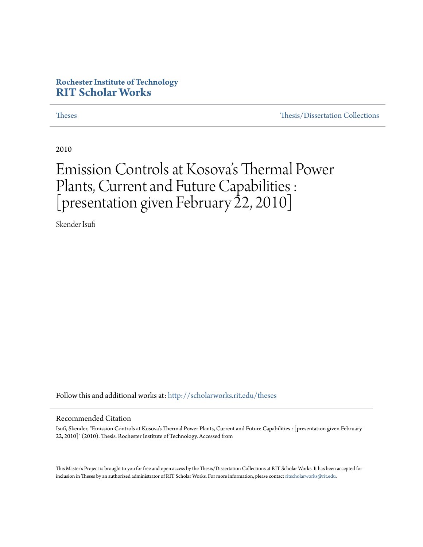# **Rochester Institute of Technology [RIT Scholar Works](http://scholarworks.rit.edu?utm_source=scholarworks.rit.edu%2Ftheses%2F6977&utm_medium=PDF&utm_campaign=PDFCoverPages)**

[Theses](http://scholarworks.rit.edu/theses?utm_source=scholarworks.rit.edu%2Ftheses%2F6977&utm_medium=PDF&utm_campaign=PDFCoverPages) [Thesis/Dissertation Collections](http://scholarworks.rit.edu/etd_collections?utm_source=scholarworks.rit.edu%2Ftheses%2F6977&utm_medium=PDF&utm_campaign=PDFCoverPages)

2010

# Emission Controls at Kosova 's Thermal Power Plants, Current and Future Capabilities : [presentation given February 22, 2010]

Skender Isufi

Follow this and additional works at: [http://scholarworks.rit.edu/theses](http://scholarworks.rit.edu/theses?utm_source=scholarworks.rit.edu%2Ftheses%2F6977&utm_medium=PDF&utm_campaign=PDFCoverPages)

#### Recommended Citation

Isufi, Skender, "Emission Controls at Kosova's Thermal Power Plants, Current and Future Capabilities : [presentation given February 22, 2010]" (2010). Thesis. Rochester Institute of Technology. Accessed from

This Master's Project is brought to you for free and open access by the Thesis/Dissertation Collections at RIT Scholar Works. It has been accepted for inclusion in Theses by an authorized administrator of RIT Scholar Works. For more information, please contact [ritscholarworks@rit.edu](mailto:ritscholarworks@rit.edu).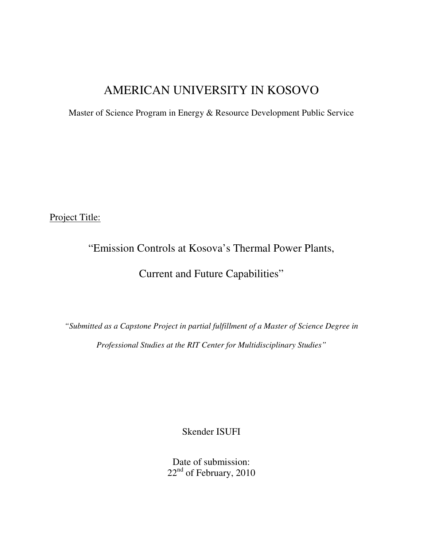# AMERICAN UNIVERSITY IN KOSOVO

Master of Science Program in Energy & Resource Development Public Service

Project Title:

# "Emission Controls at Kosova's Thermal Power Plants,

# Current and Future Capabilities"

*"Submitted as a Capstone Project in partial fulfillment of a Master of Science Degree in Professional Studies at the RIT Center for Multidisciplinary Studies"* 

Skender ISUFI

Date of submission: 22<sup>nd</sup> of February, 2010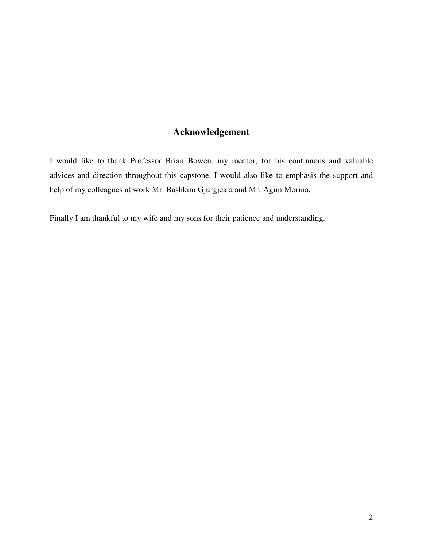# **Acknowledgement**

I would like to thank Professor Brian Bowen, my mentor, for his continuous and valuable advices and direction throughout this capstone. I would also like to emphasis the support and help of my colleagues at work Mr. Bashkim Gjurgjeala and Mr. Agim Morina.

Finally I am thankful to my wife and my sons for their patience and understanding.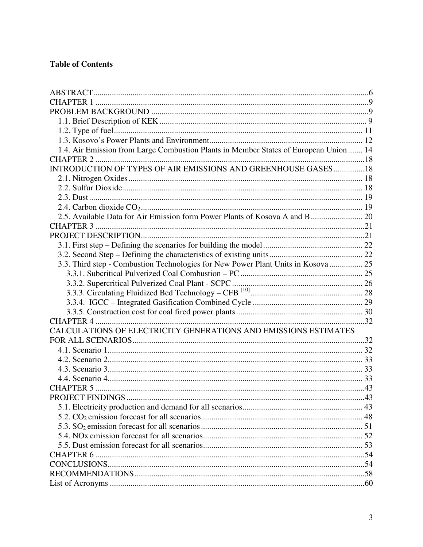# **Table of Contents**

| 1.4. Air Emission from Large Combustion Plants in Member States of European Union  14 |  |
|---------------------------------------------------------------------------------------|--|
|                                                                                       |  |
| INTRODUCTION OF TYPES OF AIR EMISSIONS AND GREENHOUSE GASES18                         |  |
|                                                                                       |  |
|                                                                                       |  |
|                                                                                       |  |
|                                                                                       |  |
|                                                                                       |  |
|                                                                                       |  |
|                                                                                       |  |
|                                                                                       |  |
|                                                                                       |  |
| 3.3. Third step - Combustion Technologies for New Power Plant Units in Kosova  25     |  |
|                                                                                       |  |
|                                                                                       |  |
|                                                                                       |  |
|                                                                                       |  |
|                                                                                       |  |
|                                                                                       |  |
| CALCULATIONS OF ELECTRICITY GENERATIONS AND EMISSIONS ESTIMATES                       |  |
|                                                                                       |  |
|                                                                                       |  |
|                                                                                       |  |
|                                                                                       |  |
|                                                                                       |  |
|                                                                                       |  |
|                                                                                       |  |
|                                                                                       |  |
|                                                                                       |  |
|                                                                                       |  |
|                                                                                       |  |
|                                                                                       |  |
|                                                                                       |  |
|                                                                                       |  |
|                                                                                       |  |
|                                                                                       |  |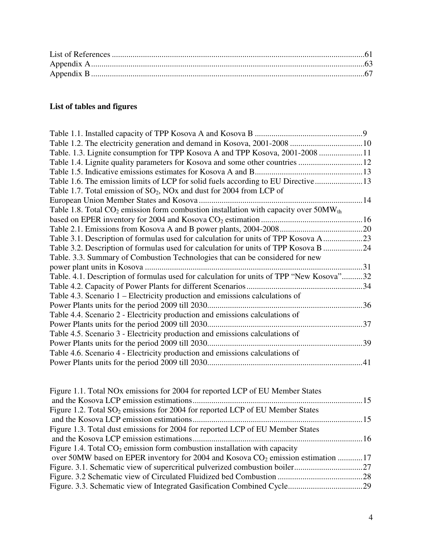# **List of tables and figures**

| Table 1.2. The electricity generation and demand in Kosova, 2001-2008  10                    |  |
|----------------------------------------------------------------------------------------------|--|
| Table. 1.3. Lignite consumption for TPP Kosova A and TPP Kosova, 2001-2008 11                |  |
|                                                                                              |  |
|                                                                                              |  |
| Table 1.6. The emission limits of LCP for solid fuels according to EU Directive 13           |  |
| Table 1.7. Total emission of $SO_2$ , NOx and dust for 2004 from LCP of                      |  |
|                                                                                              |  |
| Table 1.8. Total $CO_2$ emission form combustion installation with capacity over $50MW_{th}$ |  |
|                                                                                              |  |
|                                                                                              |  |
| Table 3.1. Description of formulas used for calculation for units of TPP Kosova A23          |  |
| Table 3.2. Description of formulas used for calculation for units of TPP Kosova B 24         |  |
| Table. 3.3. Summary of Combustion Technologies that can be considered for new                |  |
|                                                                                              |  |
| Table. 4.1. Description of formulas used for calculation for units of TPP "New Kosova"32     |  |
|                                                                                              |  |
| Table 4.3. Scenario 1 – Electricity production and emissions calculations of                 |  |
|                                                                                              |  |
| Table 4.4. Scenario 2 - Electricity production and emissions calculations of                 |  |
|                                                                                              |  |
| Table 4.5. Scenario 3 - Electricity production and emissions calculations of                 |  |
|                                                                                              |  |
| Table 4.6. Scenario 4 - Electricity production and emissions calculations of                 |  |
|                                                                                              |  |

| Figure 1.1. Total NO <sub>x</sub> emissions for 2004 for reported LCP of EU Member States    |  |
|----------------------------------------------------------------------------------------------|--|
|                                                                                              |  |
| Figure 1.2. Total $SO_2$ emissions for 2004 for reported LCP of EU Member States             |  |
|                                                                                              |  |
| Figure 1.3. Total dust emissions for 2004 for reported LCP of EU Member States               |  |
|                                                                                              |  |
| Figure 1.4. Total $CO2$ emission form combustion installation with capacity                  |  |
| over 50MW based on EPER inventory for 2004 and Kosova CO <sub>2</sub> emission estimation 17 |  |
|                                                                                              |  |
|                                                                                              |  |
|                                                                                              |  |
|                                                                                              |  |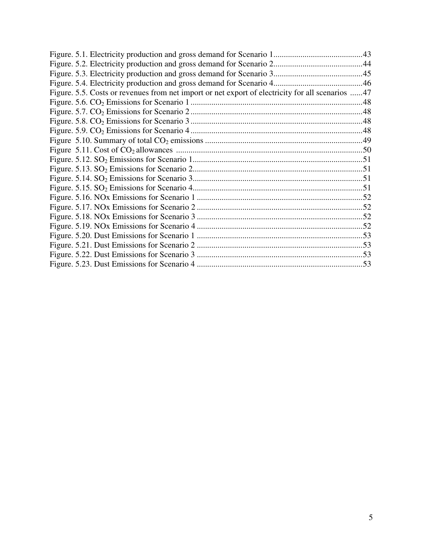| Figure. 5.5. Costs or revenues from net import or net export of electricity for all scenarios 47 |  |
|--------------------------------------------------------------------------------------------------|--|
|                                                                                                  |  |
|                                                                                                  |  |
|                                                                                                  |  |
|                                                                                                  |  |
|                                                                                                  |  |
|                                                                                                  |  |
|                                                                                                  |  |
|                                                                                                  |  |
|                                                                                                  |  |
|                                                                                                  |  |
|                                                                                                  |  |
|                                                                                                  |  |
|                                                                                                  |  |
|                                                                                                  |  |
|                                                                                                  |  |
|                                                                                                  |  |
|                                                                                                  |  |
|                                                                                                  |  |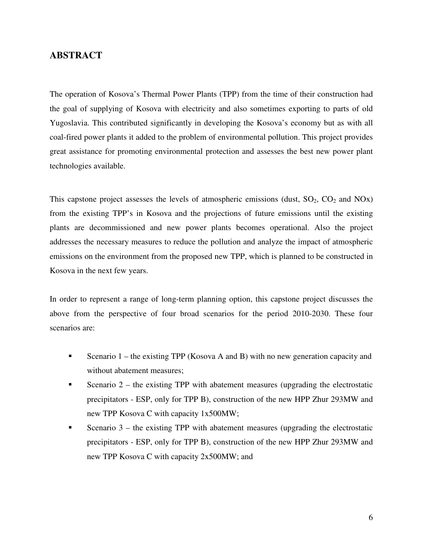### **ABSTRACT**

The operation of Kosova's Thermal Power Plants (TPP) from the time of their construction had the goal of supplying of Kosova with electricity and also sometimes exporting to parts of old Yugoslavia. This contributed significantly in developing the Kosova's economy but as with all coal-fired power plants it added to the problem of environmental pollution. This project provides great assistance for promoting environmental protection and assesses the best new power plant technologies available.

This capstone project assesses the levels of atmospheric emissions (dust,  $SO_2$ ,  $CO_2$  and  $NOX$ ) from the existing TPP's in Kosova and the projections of future emissions until the existing plants are decommissioned and new power plants becomes operational. Also the project addresses the necessary measures to reduce the pollution and analyze the impact of atmospheric emissions on the environment from the proposed new TPP, which is planned to be constructed in Kosova in the next few years.

In order to represent a range of long-term planning option, this capstone project discusses the above from the perspective of four broad scenarios for the period 2010-2030. These four scenarios are:

- Scenario  $1$  the existing TPP (Kosova A and B) with no new generation capacity and without abatement measures;
- Scenario  $2$  the existing TPP with abatement measures (upgrading the electrostatic precipitators - ESP, only for TPP B), construction of the new HPP Zhur 293MW and new TPP Kosova C with capacity 1x500MW;
- Scenario 3 the existing TPP with abatement measures (upgrading the electrostatic precipitators - ESP, only for TPP B), construction of the new HPP Zhur 293MW and new TPP Kosova C with capacity 2x500MW; and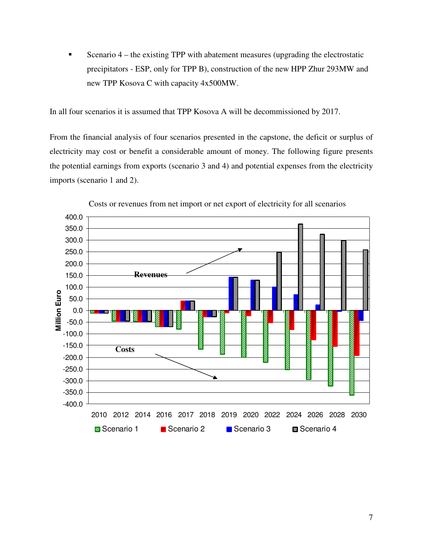Scenario 4 – the existing TPP with abatement measures (upgrading the electrostatic precipitators - ESP, only for TPP B), construction of the new HPP Zhur 293MW and new TPP Kosova C with capacity 4x500MW.

In all four scenarios it is assumed that TPP Kosova A will be decommissioned by 2017.

From the financial analysis of four scenarios presented in the capstone, the deficit or surplus of electricity may cost or benefit a considerable amount of money. The following figure presents the potential earnings from exports (scenario 3 and 4) and potential expenses from the electricity imports (scenario 1 and 2).



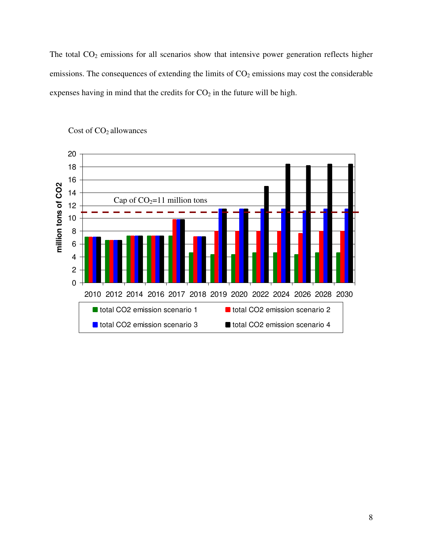The total  $CO<sub>2</sub>$  emissions for all scenarios show that intensive power generation reflects higher emissions. The consequences of extending the limits of  $CO<sub>2</sub>$  emissions may cost the considerable expenses having in mind that the credits for  $CO<sub>2</sub>$  in the future will be high.



#### Cost of CO<sub>2</sub> allowances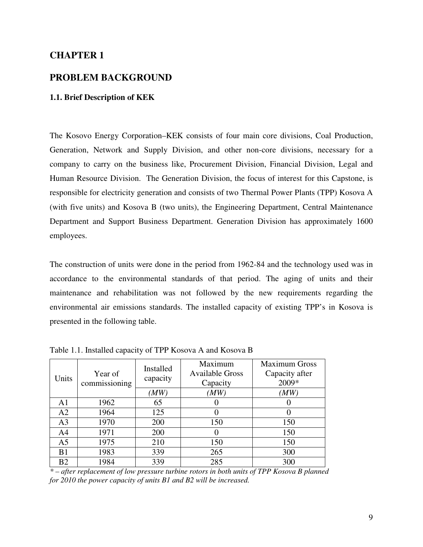# **CHAPTER 1**

### **PROBLEM BACKGROUND**

#### **1.1. Brief Description of KEK**

The Kosovo Energy Corporation–KEK consists of four main core divisions, Coal Production, Generation, Network and Supply Division, and other non-core divisions, necessary for a company to carry on the business like, Procurement Division, Financial Division, Legal and Human Resource Division. The Generation Division, the focus of interest for this Capstone, is responsible for electricity generation and consists of two Thermal Power Plants (TPP) Kosova A (with five units) and Kosova B (two units), the Engineering Department, Central Maintenance Department and Support Business Department. Generation Division has approximately 1600 employees.

The construction of units were done in the period from 1962-84 and the technology used was in accordance to the environmental standards of that period. The aging of units and their maintenance and rehabilitation was not followed by the new requirements regarding the environmental air emissions standards. The installed capacity of existing TPP's in Kosova is presented in the following table.

| Units          | Year of<br>commissioning | Installed<br>capacity | Maximum<br><b>Available Gross</b><br>Capacity | <b>Maximum Gross</b><br>Capacity after<br>2009* |
|----------------|--------------------------|-----------------------|-----------------------------------------------|-------------------------------------------------|
|                |                          | (MW)                  | (MW)                                          | (MW)                                            |
| A1             | 1962                     | 65                    |                                               |                                                 |
| A2             | 1964                     | 125                   |                                               |                                                 |
| A <sub>3</sub> | 1970                     | 200                   | 150                                           | 150                                             |
| A4             | 1971                     | 200                   | $\theta$                                      | 150                                             |
| A <sub>5</sub> | 1975                     | 210                   | 150                                           | 150                                             |
| B <sub>1</sub> | 1983                     | 339                   | 265                                           | 300                                             |
| B <sub>2</sub> | 1984                     | 339                   | 285                                           | 300                                             |

Table 1.1. Installed capacity of TPP Kosova A and Kosova B

*\* – after replacement of low pressure turbine rotors in both units of TPP Kosova B planned for 2010 the power capacity of units B1 and B2 will be increased.*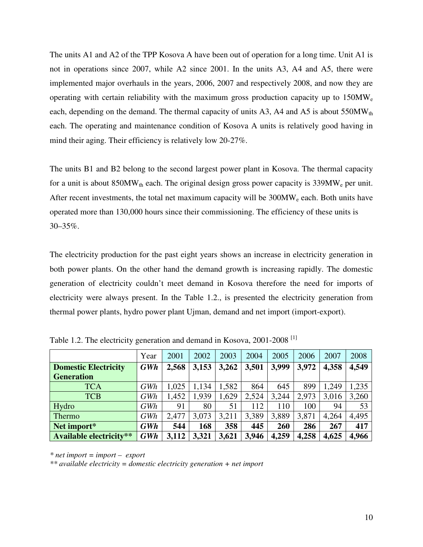The units A1 and A2 of the TPP Kosova A have been out of operation for a long time. Unit A1 is not in operations since 2007, while A2 since 2001. In the units A3, A4 and A5, there were implemented major overhauls in the years, 2006, 2007 and respectively 2008, and now they are operating with certain reliability with the maximum gross production capacity up to  $150MW_e$ each, depending on the demand. The thermal capacity of units A3, A4 and A5 is about  $550MW_{th}$ each. The operating and maintenance condition of Kosova A units is relatively good having in mind their aging. Their efficiency is relatively low 20-27%.

The units B1 and B2 belong to the second largest power plant in Kosova. The thermal capacity for a unit is about  $850MW_{th}$  each. The original design gross power capacity is  $339MW_{e}$  per unit. After recent investments, the total net maximum capacity will be  $300MW<sub>e</sub>$  each. Both units have operated more than 130,000 hours since their commissioning. The efficiency of these units is 30–35%.

The electricity production for the past eight years shows an increase in electricity generation in both power plants. On the other hand the demand growth is increasing rapidly. The domestic generation of electricity couldn't meet demand in Kosova therefore the need for imports of electricity were always present. In the Table 1.2., is presented the electricity generation from thermal power plants, hydro power plant Ujman, demand and net import (import-export).

|                                | Year       | 2001  | 2002  | 2003  | 2004  | 2005  | 2006  | 2007  | 2008  |
|--------------------------------|------------|-------|-------|-------|-------|-------|-------|-------|-------|
| <b>Domestic Electricity</b>    | <b>GWh</b> | 2,568 | 3,153 | 3,262 | 3,501 | 3,999 | 3,972 | 4,358 | 4,549 |
| <b>Generation</b>              |            |       |       |       |       |       |       |       |       |
| <b>TCA</b>                     | GWh        | 1,025 | 1,134 | 1,582 | 864   | 645   | 899   | 1,249 | ,235  |
| <b>TCB</b>                     | GWh        | 1,452 | 1,939 | 1,629 | 2,524 | 3,244 | 2,973 | 3,016 | 3,260 |
| Hydro                          | GWh        | 91    | 80    | 51    | 112   | 110   | 100   | 94    | 53    |
| Thermo                         | GWh        | 2,477 | 3,073 | 3,211 | 3,389 | 3,889 | 3,871 | 4,264 | 4,495 |
| Net import*                    | <b>GWh</b> | 544   | 168   | 358   | 445   | 260   | 286   | 267   | 417   |
| <b>Available electricity**</b> | <b>GWh</b> | 3,112 | 3,321 | 3,621 | 3,946 | 4,259 | 4,258 | 4,625 | 4,966 |

Table 1.2. The electricity generation and demand in Kosova, 2001-2008<sup>[1]</sup>

*\* net import = import – export* 

*\*\* available electricity = domestic electricity generation + net import*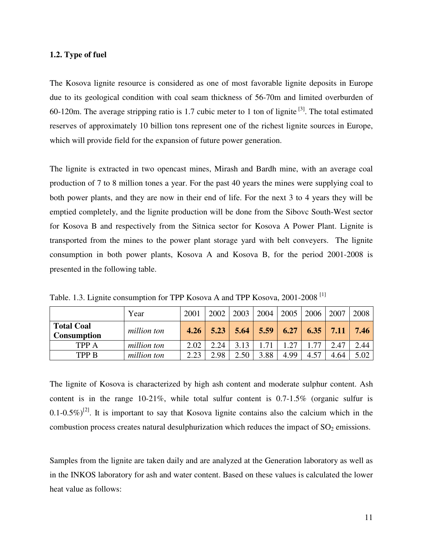#### **1.2. Type of fuel**

The Kosova lignite resource is considered as one of most favorable lignite deposits in Europe due to its geological condition with coal seam thickness of 56-70m and limited overburden of 60-120m. The average stripping ratio is 1.7 cubic meter to 1 ton of lignite  $^{[3]}$ . The total estimated reserves of approximately 10 billion tons represent one of the richest lignite sources in Europe, which will provide field for the expansion of future power generation.

The lignite is extracted in two opencast mines, Mirash and Bardh mine, with an average coal production of 7 to 8 million tones a year. For the past 40 years the mines were supplying coal to both power plants, and they are now in their end of life. For the next 3 to 4 years they will be emptied completely, and the lignite production will be done from the Sibovc South-West sector for Kosova B and respectively from the Sitnica sector for Kosova A Power Plant. Lignite is transported from the mines to the power plant storage yard with belt conveyers. The lignite consumption in both power plants, Kosova A and Kosova B, for the period 2001-2008 is presented in the following table.

|                                         | Year        | 2001 | 2002 | 2003 | 2004 | 2005 | 2006 | 2007 | 2008 |
|-----------------------------------------|-------------|------|------|------|------|------|------|------|------|
| <b>Total Coal</b><br><b>Consumption</b> | million ton | 4.26 | 5.23 | 5.64 | 5.59 | 6.27 | 6.35 | 7.11 | 7.46 |
| <b>TPP A</b>                            | million ton | 2.02 | 2.24 | 3.13 | 71   | .27  | -77  | 2.47 | 2.44 |
| <b>TPP B</b>                            | million ton | 2.23 | 2.98 | 2.50 | 3.88 | 4.99 | 4.57 | 4.64 | 5.02 |

Table. 1.3. Lignite consumption for TPP Kosova A and TPP Kosova, 2001-2008<sup>[1]</sup>

The lignite of Kosova is characterized by high ash content and moderate sulphur content. Ash content is in the range 10-21%, while total sulfur content is 0.7-1.5% (organic sulfur is 0.1-0.5%)<sup>[2]</sup>. It is important to say that Kosova lignite contains also the calcium which in the combustion process creates natural desulphurization which reduces the impact of  $SO<sub>2</sub>$  emissions.

Samples from the lignite are taken daily and are analyzed at the Generation laboratory as well as in the INKOS laboratory for ash and water content. Based on these values is calculated the lower heat value as follows: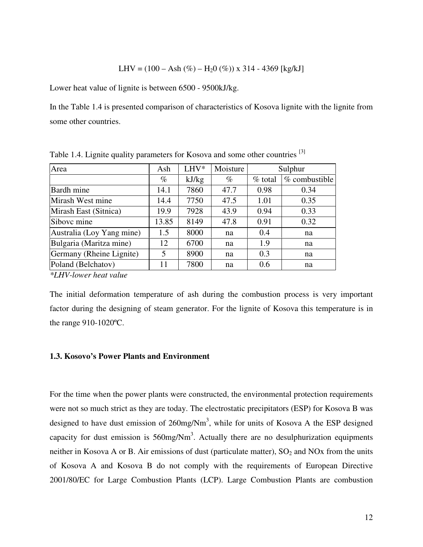$$
LHV = (100 - Ash\ (\%) - H_2O\ (\%)) \times 314 - 4369 \ [kg/kJ]
$$

Lower heat value of lignite is between 6500 - 9500kJ/kg.

In the Table 1.4 is presented comparison of characteristics of Kosova lignite with the lignite from some other countries.

| Area                                                                                                                                                                                                                                                                                                                                                        | Ash   | LHV*  | Moisture |           | Sulphur       |
|-------------------------------------------------------------------------------------------------------------------------------------------------------------------------------------------------------------------------------------------------------------------------------------------------------------------------------------------------------------|-------|-------|----------|-----------|---------------|
|                                                                                                                                                                                                                                                                                                                                                             | $\%$  | kJ/kg | $\%$     | $%$ total | % combustible |
| Bardh mine                                                                                                                                                                                                                                                                                                                                                  | 14.1  | 7860  | 47.7     | 0.98      | 0.34          |
| Mirash West mine                                                                                                                                                                                                                                                                                                                                            | 14.4  | 7750  | 47.5     | 1.01      | 0.35          |
| Mirash East (Sitnica)                                                                                                                                                                                                                                                                                                                                       | 19.9  | 7928  | 43.9     | 0.94      | 0.33          |
| Sibovc mine                                                                                                                                                                                                                                                                                                                                                 | 13.85 | 8149  | 47.8     | 0.91      | 0.32          |
| Australia (Loy Yang mine)                                                                                                                                                                                                                                                                                                                                   | 1.5   | 8000  | na       | 0.4       | na            |
| Bulgaria (Maritza mine)                                                                                                                                                                                                                                                                                                                                     | 12    | 6700  | na       | 1.9       | na            |
| Germany (Rheine Lignite)                                                                                                                                                                                                                                                                                                                                    | 5     | 8900  | na       | 0.3       | na            |
| Poland (Belchatov)                                                                                                                                                                                                                                                                                                                                          | 11    | 7800  | na       | 0.6       | na            |
| $\mathcal{M}$ $\mathcal{I}$ $\mathcal{I}$ $\mathcal{I}$ $\mathcal{I}$ $\mathcal{I}$ $\mathcal{I}$ $\mathcal{I}$ $\mathcal{I}$ $\mathcal{I}$ $\mathcal{I}$ $\mathcal{I}$ $\mathcal{I}$ $\mathcal{I}$ $\mathcal{I}$ $\mathcal{I}$ $\mathcal{I}$ $\mathcal{I}$ $\mathcal{I}$ $\mathcal{I}$ $\mathcal{I}$ $\mathcal{I}$ $\mathcal{I}$ $\mathcal{I}$ $\mathcal{$ |       |       |          |           |               |

Table 1.4. Lignite quality parameters for Kosova and some other countries <sup>[3]</sup>

*\*LHV-lower heat value* 

The initial deformation temperature of ash during the combustion process is very important factor during the designing of steam generator. For the lignite of Kosova this temperature is in the range 910-1020ºC.

#### **1.3. Kosovo's Power Plants and Environment**

For the time when the power plants were constructed, the environmental protection requirements were not so much strict as they are today. The electrostatic precipitators (ESP) for Kosova B was designed to have dust emission of  $260$ mg/Nm<sup>3</sup>, while for units of Kosova A the ESP designed capacity for dust emission is  $560$ mg/Nm<sup>3</sup>. Actually there are no desulphurization equipments neither in Kosova A or B. Air emissions of dust (particulate matter),  $SO_2$  and NOx from the units of Kosova A and Kosova B do not comply with the requirements of European Directive 2001/80/EC for Large Combustion Plants (LCP). Large Combustion Plants are combustion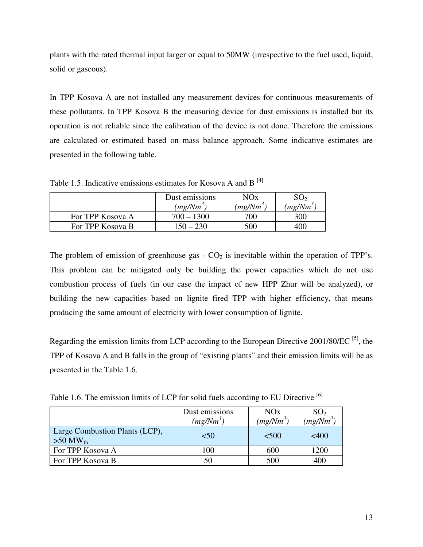plants with the rated thermal input larger or equal to 50MW (irrespective to the fuel used, liquid, solid or gaseous).

In TPP Kosova A are not installed any measurement devices for continuous measurements of these pollutants. In TPP Kosova B the measuring device for dust emissions is installed but its operation is not reliable since the calibration of the device is not done. Therefore the emissions are calculated or estimated based on mass balance approach. Some indicative estimates are presented in the following table.

Table 1.5. Indicative emissions estimates for Kosova A and B  $^{[4]}$ 

|                  | Dust emissions<br>$(mg/Nm^3)$ | NOx<br>(mg/Nm <sup>3</sup> ) | SO <sub>2</sub><br>$(mg/Nm^3)$ |
|------------------|-------------------------------|------------------------------|--------------------------------|
| For TPP Kosova A | $700 - 1300$                  | 700                          | 300                            |
| For TPP Kosova B | 150 – 230                     | 500                          | 400                            |

The problem of emission of greenhouse gas  $-CO<sub>2</sub>$  is inevitable within the operation of TPP's. This problem can be mitigated only be building the power capacities which do not use combustion process of fuels (in our case the impact of new HPP Zhur will be analyzed), or building the new capacities based on lignite fired TPP with higher efficiency, that means producing the same amount of electricity with lower consumption of lignite.

Regarding the emission limits from LCP according to the European Directive 2001/80/EC  $^{[5]}$ , the TPP of Kosova A and B falls in the group of "existing plants" and their emission limits will be as presented in the Table 1.6.

Table 1.6. The emission limits of LCP for solid fuels according to EU Directive <sup>[6]</sup>

|                                                                 | Dust emissions<br>$(mg/Nm^3)$ | NOx<br>$(mg/Nm^3)$ | SO <sub>2</sub><br>$(mg/Nm^3)$ |
|-----------------------------------------------------------------|-------------------------------|--------------------|--------------------------------|
| <b>Large Combustion Plants (LCP),</b><br>$>50$ MW <sub>th</sub> | < 50                          | < 500              | $<$ 400                        |
| For TPP Kosova A                                                | 100                           | 600                | 1200                           |
| For TPP Kosova B                                                | 50                            | 500                | 400                            |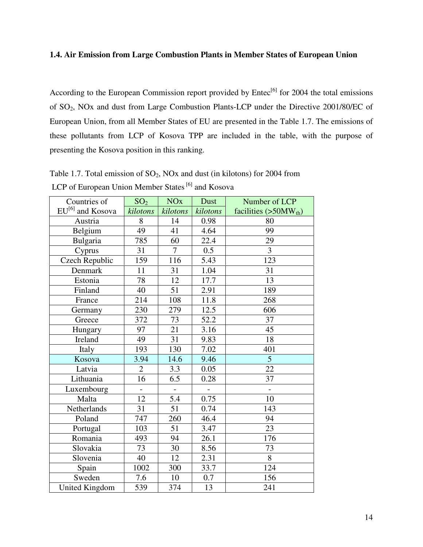#### **1.4. Air Emission from Large Combustion Plants in Member States of European Union**

According to the European Commission report provided by Entec<sup>[6]</sup> for 2004 the total emissions of SO2, NOx and dust from Large Combustion Plants-LCP under the Directive 2001/80/EC of European Union, from all Member States of EU are presented in the Table 1.7. The emissions of these pollutants from LCP of Kosova TPP are included in the table, with the purpose of presenting the Kosova position in this ranking.

| Countries of                 | SO <sub>2</sub> | <b>NO<sub>x</sub></b> | Dust             | Number of LCP          |
|------------------------------|-----------------|-----------------------|------------------|------------------------|
| EU <sup>[6]</sup> and Kosova | kilotons        | kilotons              | kilotons         | facilities $(>50MWth)$ |
| Austria                      | 8               | 14                    | 0.98             | 80                     |
| Belgium                      | 49              | 41                    | 4.64             | $\overline{99}$        |
| Bulgaria                     | 785             | 60                    | 22.4             | 29                     |
| Cyprus                       | 31              | $\overline{7}$        | $\overline{0.5}$ | $\overline{3}$         |
| Czech Republic               | 159             | 116                   | 5.43             | 123                    |
| Denmark                      | 11              | 31                    | 1.04             | 31                     |
| Estonia                      | 78              | 12                    | 17.7             | 13                     |
| Finland                      | 40              | 51                    | 2.91             | 189                    |
| France                       | 214             | 108                   | 11.8             | 268                    |
| Germany                      | 230             | 279                   | 12.5             | 606                    |
| Greece                       | 372             | 73                    | 52.2             | 37                     |
| Hungary                      | 97              | 21                    | 3.16             | 45                     |
| Ireland                      | 49              | $\overline{31}$       | 9.83             | 18                     |
| Italy                        | 193             | 130                   | 7.02             | 401                    |
| Kosova                       | 3.94            | 14.6                  | 9.46             | $\overline{5}$         |
| Latvia                       | $\overline{2}$  | 3.3                   | 0.05             | $\overline{22}$        |
| Lithuania                    | 16              | 6.5                   | 0.28             | 37                     |
| Luxembourg                   |                 |                       |                  |                        |
| Malta                        | 12              | 5.4                   | 0.75             | 10                     |
| Netherlands                  | 31              | $\overline{51}$       | 0.74             | 143                    |
| Poland                       | 747             | 260                   | 46.4             | 94                     |
| Portugal                     | 103             | 51                    | 3.47             | 23                     |
| Romania                      | 493             | 94                    | 26.1             | 176                    |
| Slovakia                     | 73              | 30                    | 8.56             | 73                     |
| Slovenia                     | 40              | 12                    | 2.31             | $\overline{8}$         |
| Spain                        | 1002            | 300                   | 33.7             | 124                    |
| Sweden                       | 7.6             | 10                    | 0.7              | 156                    |
| United Kingdom               | 539             | 374                   | 13               | 241                    |

Table 1.7. Total emission of  $SO_2$ , NOx and dust (in kilotons) for 2004 from LCP of European Union Member States [6] and Kosova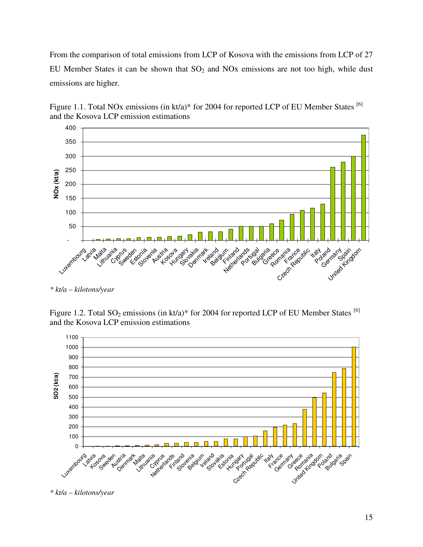From the comparison of total emissions from LCP of Kosova with the emissions from LCP of 27 EU Member States it can be shown that  $SO<sub>2</sub>$  and NOx emissions are not too high, while dust emissions are higher.





Figure 1.2. Total  $SO_2$  emissions (in kt/a)\* for 2004 for reported LCP of EU Member States <sup>[6]</sup> and the Kosova LCP emission estimations



*\* kt/a – kilotons/year* 

*<sup>\*</sup> kt/a – kilotons/year*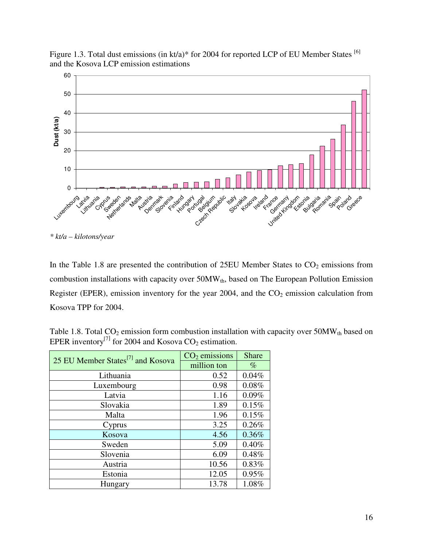Figure 1.3. Total dust emissions (in kt/a)\* for 2004 for reported LCP of EU Member States [6] and the Kosova LCP emission estimations



*\* kt/a – kilotons/year* 

In the Table 1.8 are presented the contribution of 25EU Member States to  $CO<sub>2</sub>$  emissions from combustion installations with capacity over 50MW<sub>th</sub>, based on The European Pollution Emission Register (EPER), emission inventory for the year  $2004$ , and the  $CO<sub>2</sub>$  emission calculation from Kosova TPP for 2004.

| Table 1.8. Total $CO_2$ emission form combustion installation with capacity over 50MW <sub>th</sub> based on |  |
|--------------------------------------------------------------------------------------------------------------|--|
| EPER inventory <sup>[7]</sup> for 2004 and Kosova $CO_2$ estimation.                                         |  |

| 25 EU Member States <sup>[7]</sup> and Kosova | $CO2$ emissions | <b>Share</b> |
|-----------------------------------------------|-----------------|--------------|
|                                               | million ton     | $\%$         |
| Lithuania                                     | 0.52            | 0.04%        |
| Luxembourg                                    | 0.98            | 0.08%        |
| Latvia                                        | 1.16            | 0.09%        |
| Slovakia                                      | 1.89            | 0.15%        |
| Malta                                         | 1.96            | 0.15%        |
| Cyprus                                        | 3.25            | 0.26%        |
| Kosova                                        | 4.56            | 0.36%        |
| Sweden                                        | 5.09            | 0.40%        |
| Slovenia                                      | 6.09            | 0.48%        |
| Austria                                       | 10.56           | 0.83%        |
| Estonia                                       | 12.05           | 0.95%        |
| Hungary                                       | 13.78           | 1.08%        |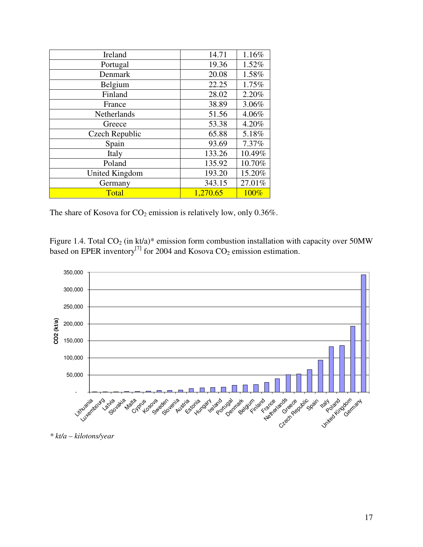| Ireland               | 14.71    | 1.16%  |
|-----------------------|----------|--------|
| Portugal              | 19.36    | 1.52%  |
| Denmark               | 20.08    | 1.58%  |
| Belgium               | 22.25    | 1.75%  |
| Finland               | 28.02    | 2.20%  |
| France                | 38.89    | 3.06%  |
| Netherlands           | 51.56    | 4.06%  |
| Greece                | 53.38    | 4.20%  |
| Czech Republic        | 65.88    | 5.18%  |
| Spain                 | 93.69    | 7.37%  |
| Italy                 | 133.26   | 10.49% |
| Poland                | 135.92   | 10.70% |
| <b>United Kingdom</b> | 193.20   | 15.20% |
| Germany               | 343.15   | 27.01% |
| Total                 | 1,270.65 | 100%   |

The share of Kosova for  $CO_2$  emission is relatively low, only 0.36%.

Figure 1.4. Total  $CO_2$  (in kt/a)\* emission form combustion installation with capacity over 50MW based on EPER inventory<sup>[7]</sup> for 2004 and Kosova  $CO_2$  emission estimation.



*\* kt/a – kilotons/year*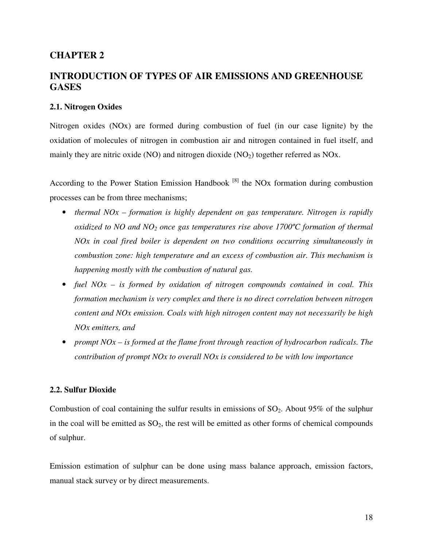# **CHAPTER 2**

# **INTRODUCTION OF TYPES OF AIR EMISSIONS AND GREENHOUSE GASES**

#### **2.1. Nitrogen Oxides**

Nitrogen oxides (NOx) are formed during combustion of fuel (in our case lignite) by the oxidation of molecules of nitrogen in combustion air and nitrogen contained in fuel itself, and mainly they are nitric oxide (NO) and nitrogen dioxide  $(NO<sub>2</sub>)$  together referred as NOx.

According to the Power Station Emission Handbook  $[8]$  the NOx formation during combustion processes can be from three mechanisms;

- *thermal NOx formation is highly dependent on gas temperature. Nitrogen is rapidly oxidized to NO and NO2 once gas temperatures rise above 1700ºC formation of thermal NOx in coal fired boiler is dependent on two conditions occurring simultaneously in combustion zone: high temperature and an excess of combustion air. This mechanism is happening mostly with the combustion of natural gas.*
- *fuel NOx is formed by oxidation of nitrogen compounds contained in coal. This formation mechanism is very complex and there is no direct correlation between nitrogen content and NOx emission. Coals with high nitrogen content may not necessarily be high NOx emitters, and*
- *prompt NOx is formed at the flame front through reaction of hydrocarbon radicals. The contribution of prompt NOx to overall NOx is considered to be with low importance*

#### **2.2. Sulfur Dioxide**

Combustion of coal containing the sulfur results in emissions of  $SO_2$ . About 95% of the sulphur in the coal will be emitted as  $SO_2$ , the rest will be emitted as other forms of chemical compounds of sulphur.

Emission estimation of sulphur can be done using mass balance approach, emission factors, manual stack survey or by direct measurements.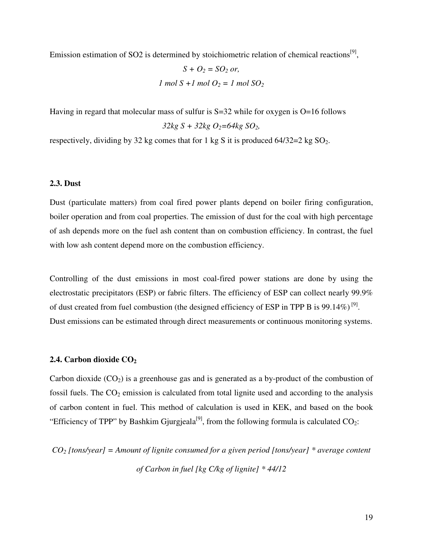Emission estimation of SO2 is determined by stoichiometric relation of chemical reactions<sup>[9]</sup>,

$$
S + O_2 = SO_2 \text{ or,}
$$
  
*1 mol S + 1 mol O<sub>2</sub> = 1 mol SO<sub>2</sub>*

Having in regard that molecular mass of sulfur is S=32 while for oxygen is O=16 follows  $32kg S + 32kg O<sub>2</sub>=64kg SO<sub>2</sub>$ 

respectively, dividing by 32 kg comes that for 1 kg S it is produced  $64/32=2$  kg  $SO_2$ .

#### **2.3. Dust**

Dust (particulate matters) from coal fired power plants depend on boiler firing configuration, boiler operation and from coal properties. The emission of dust for the coal with high percentage of ash depends more on the fuel ash content than on combustion efficiency. In contrast, the fuel with low ash content depend more on the combustion efficiency.

Controlling of the dust emissions in most coal-fired power stations are done by using the electrostatic precipitators (ESP) or fabric filters. The efficiency of ESP can collect nearly 99.9% of dust created from fuel combustion (the designed efficiency of ESP in TPP B is 99.14%)<sup>[9]</sup>. Dust emissions can be estimated through direct measurements or continuous monitoring systems.

#### **2.4. Carbon dioxide CO<sup>2</sup>**

Carbon dioxide  $(CO_2)$  is a greenhouse gas and is generated as a by-product of the combustion of fossil fuels. The  $CO_2$  emission is calculated from total lignite used and according to the analysis of carbon content in fuel. This method of calculation is used in KEK, and based on the book "Efficiency of TPP" by Bashkim Gjurgjeala<sup>[9]</sup>, from the following formula is calculated  $CO_2$ :

*CO2 [tons/year] = Amount of lignite consumed for a given period [tons/year] \* average content of Carbon in fuel [kg C/kg of lignite] \* 44/12*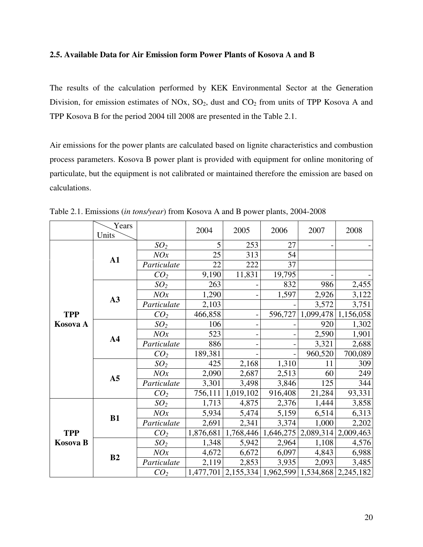#### **2.5. Available Data for Air Emission form Power Plants of Kosova A and B**

The results of the calculation performed by KEK Environmental Sector at the Generation Division, for emission estimates of NOx,  $SO_2$ , dust and  $CO_2$  from units of TPP Kosova A and TPP Kosova B for the period 2004 till 2008 are presented in the Table 2.1.

Air emissions for the power plants are calculated based on lignite characteristics and combustion process parameters. Kosova B power plant is provided with equipment for online monitoring of particulate, but the equipment is not calibrated or maintained therefore the emission are based on calculations.

|            | Years<br>Units |                 | 2004      | 2005      | 2006    | 2007                  | 2008                                                      |
|------------|----------------|-----------------|-----------|-----------|---------|-----------------------|-----------------------------------------------------------|
|            |                | SO <sub>2</sub> | 5         | 253       | 27      |                       |                                                           |
|            | ${\bf A1}$     | NOx             | 25        | 313       | 54      |                       |                                                           |
|            |                | Particulate     | 22        | 222       | 37      |                       |                                                           |
|            |                | CO <sub>2</sub> | 9,190     | 11,831    | 19,795  |                       |                                                           |
|            |                | SO <sub>2</sub> | 263       |           | 832     | 986                   | 2,455                                                     |
|            | A3             | NOx             | 1,290     |           | 1,597   | 2,926                 | 3,122                                                     |
|            |                | Particulate     | 2,103     |           |         | 3,572                 | 3,751                                                     |
| <b>TPP</b> |                | CO <sub>2</sub> | 466,858   |           | 596,727 | 1,099,478             | 1,156,058                                                 |
| Kosova A   | A <sub>4</sub> | SO <sub>2</sub> | 106       |           |         | 920                   | 1,302                                                     |
|            |                | NOx             | 523       |           |         | 2,590                 | 1,901                                                     |
|            |                | Particulate     | 886       |           |         | 3,321                 | 2,688                                                     |
|            |                | CO <sub>2</sub> | 189,381   |           |         | 960,520               | 700,089                                                   |
|            |                | SO <sub>2</sub> | 425       | 2,168     | 1,310   | 11                    | 309                                                       |
|            | A <sub>5</sub> | NOx             | 2,090     | 2,687     | 2,513   | 60                    | 249                                                       |
|            |                | Particulate     | 3,301     | 3,498     | 3,846   | 125                   | 344                                                       |
|            |                | CO <sub>2</sub> | 756,111   | 1,019,102 | 916,408 | 21,284                | 93,331                                                    |
|            |                | SO <sub>2</sub> | 1,713     | 4,875     | 2,376   | 1,444                 | 3,858                                                     |
|            | <b>B1</b>      | NOx             | 5,934     | 5,474     | 5,159   | 6,514                 | 6,313                                                     |
|            |                | Particulate     | 2,691     | 2,341     | 3,374   | 1,000                 | 2,202                                                     |
| <b>TPP</b> |                | CO <sub>2</sub> | 1,876,681 | 1,768,446 |         | $1,646,275$ 2,089,314 | 2,009,463                                                 |
| Kosova B   |                | SO <sub>2</sub> | 1,348     | 5,942     | 2,964   | 1,108                 | 4,576                                                     |
|            | B2             | NOx             | 4,672     | 6,672     | 6,097   | 4,843                 | 6,988                                                     |
|            |                | Particulate     | 2,119     | 2,853     | 3,935   | 2,093                 | 3,485                                                     |
|            |                | CO <sub>2</sub> |           |           |         |                       | 1,477,701   2,155,334   1,962,599   1,534,868   2,245,182 |

Table 2.1. Emissions (*in tons/year*) from Kosova A and B power plants, 2004-2008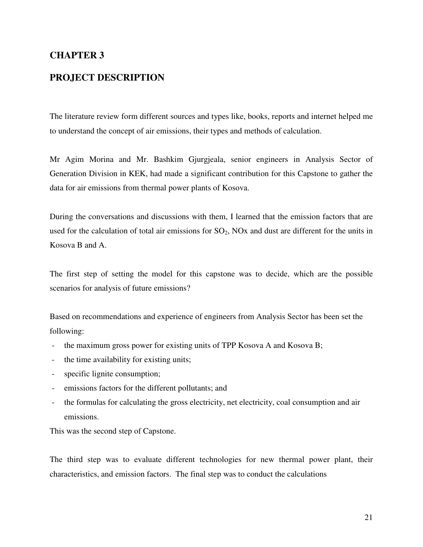# **CHAPTER 3**

# **PROJECT DESCRIPTION**

The literature review form different sources and types like, books, reports and internet helped me to understand the concept of air emissions, their types and methods of calculation.

Mr Agim Morina and Mr. Bashkim Gjurgjeala, senior engineers in Analysis Sector of Generation Division in KEK, had made a significant contribution for this Capstone to gather the data for air emissions from thermal power plants of Kosova.

During the conversations and discussions with them, I learned that the emission factors that are used for the calculation of total air emissions for  $SO_2$ , NOx and dust are different for the units in Kosova B and A.

The first step of setting the model for this capstone was to decide, which are the possible scenarios for analysis of future emissions?

Based on recommendations and experience of engineers from Analysis Sector has been set the following:

- the maximum gross power for existing units of TPP Kosova A and Kosova B;
- the time availability for existing units;
- specific lignite consumption;
- emissions factors for the different pollutants; and
- the formulas for calculating the gross electricity, net electricity, coal consumption and air emissions.

This was the second step of Capstone.

The third step was to evaluate different technologies for new thermal power plant, their characteristics, and emission factors. The final step was to conduct the calculations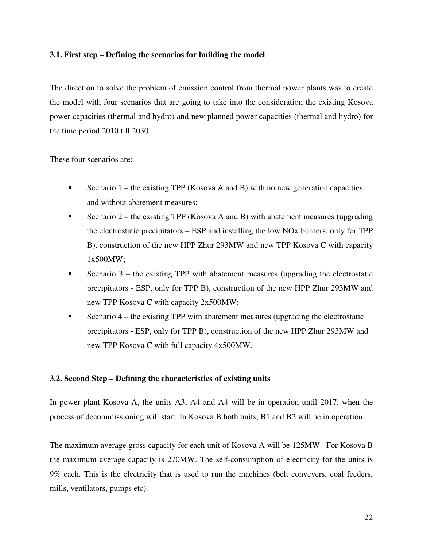#### **3.1. First step – Defining the scenarios for building the model**

The direction to solve the problem of emission control from thermal power plants was to create the model with four scenarios that are going to take into the consideration the existing Kosova power capacities (thermal and hydro) and new planned power capacities (thermal and hydro) for the time period 2010 till 2030.

These four scenarios are:

- Scenario  $1$  the existing TPP (Kosova A and B) with no new generation capacities and without abatement measures;
- Scenario 2 the existing TPP (Kosova A and B) with abatement measures (upgrading the electrostatic precipitators – ESP and installing the low NOx burners, only for TPP B), construction of the new HPP Zhur 293MW and new TPP Kosova C with capacity 1x500MW;
- Scenario  $3$  the existing TPP with abatement measures (upgrading the electrostatic precipitators - ESP, only for TPP B), construction of the new HPP Zhur 293MW and new TPP Kosova C with capacity 2x500MW;
- Scenario  $4$  the existing TPP with abatement measures (upgrading the electrostatic precipitators - ESP, only for TPP B), construction of the new HPP Zhur 293MW and new TPP Kosova C with full capacity 4x500MW.

#### **3.2. Second Step – Defining the characteristics of existing units**

In power plant Kosova A, the units A3, A4 and A4 will be in operation until 2017, when the process of decommissioning will start. In Kosova B both units, B1 and B2 will be in operation.

The maximum average gross capacity for each unit of Kosova A will be 125MW. For Kosova B the maximum average capacity is 270MW. The self-consumption of electricity for the units is 9% each. This is the electricity that is used to run the machines (belt conveyers, coal feeders, mills, ventilators, pumps etc).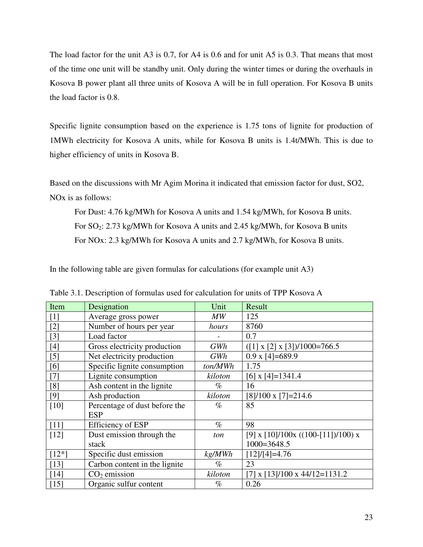The load factor for the unit A3 is 0.7, for A4 is 0.6 and for unit A5 is 0.3. That means that most of the time one unit will be standby unit. Only during the winter times or during the overhauls in Kosova B power plant all three units of Kosova A will be in full operation. For Kosova B units the load factor is 0.8.

Specific lignite consumption based on the experience is 1.75 tons of lignite for production of 1MWh electricity for Kosova A units, while for Kosova B units is 1.4t/MWh. This is due to higher efficiency of units in Kosova B.

Based on the discussions with Mr Agim Morina it indicated that emission factor for dust, SO2, NOx is as follows:

For Dust: 4.76 kg/MWh for Kosova A units and 1.54 kg/MWh, for Kosova B units. For SO<sub>2</sub>: 2.73 kg/MWh for Kosova A units and 2.45 kg/MWh, for Kosova B units For NOx: 2.3 kg/MWh for Kosova A units and 2.7 kg/MWh, for Kosova B units.

In the following table are given formulas for calculations (for example unit A3)

| Item                                                                                       | Designation                   | Unit    | Result                                    |
|--------------------------------------------------------------------------------------------|-------------------------------|---------|-------------------------------------------|
| $[1]$                                                                                      | Average gross power           | MW      | 125                                       |
| $[2]$                                                                                      | Number of hours per year      | hours   | 8760                                      |
| $[3]$                                                                                      | Load factor                   |         | 0.7                                       |
| $[4] % \includegraphics[width=0.9\columnwidth]{figures/fig_4} \caption{A=}\label{fig:2} %$ | Gross electricity production  | GWh     | $([1] \times [2] \times [3])$ /1000=766.5 |
| $[5]$                                                                                      | Net electricity production    | GWh     | $0.9 \times 4 = 689.9$                    |
| [6]                                                                                        | Specific lignite consumption  | ton/MWh | 1.75                                      |
| $[7]$                                                                                      | Lignite consumption           | kiloton | $[6]$ x $[4] = 1341.4$                    |
| [8]                                                                                        | Ash content in the lignite    | $\%$    | 16                                        |
| $[9]$                                                                                      | Ash production                | kiloton | $[8]/100 \times [7]=214.6$                |
| $[10]$                                                                                     | Percentage of dust before the | $\%$    | 85                                        |
|                                                                                            | <b>ESP</b>                    |         |                                           |
| $[11]$                                                                                     | Efficiency of ESP             | $\%$    | 98                                        |
| $[12]$                                                                                     | Dust emission through the     | ton     | [9] x $[10]/100x$ ((100-[11])/100) x      |
|                                                                                            | stack                         |         | $1000 = 3648.5$                           |
| $[12*]$                                                                                    | Specific dust emission        | kg/MWh  | $[12]/[4] = 4.76$                         |
| $[13]$                                                                                     | Carbon content in the lignite | $\%$    | 23                                        |
| $[14]$                                                                                     | $CO2$ emission                | kiloton | $[7]$ x $[13]/100$ x 44/12=1131.2         |
| $[15]$                                                                                     | Organic sulfur content        | $\%$    | 0.26                                      |

Table 3.1. Description of formulas used for calculation for units of TPP Kosova A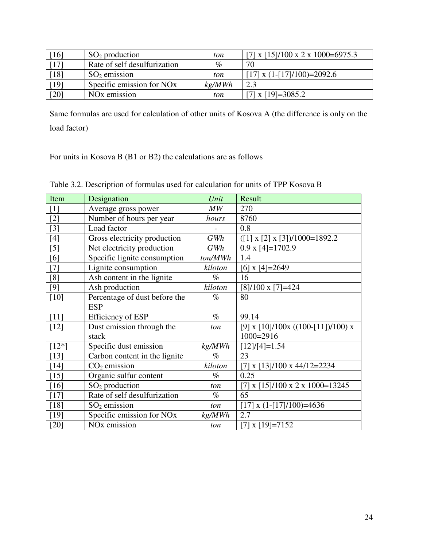| [16]   | $SO2$ production                      | ton             | [7] x $\left[15\right]/100 \times 2 \times 1000 = 6975.3$ |
|--------|---------------------------------------|-----------------|-----------------------------------------------------------|
| [17]   | Rate of self desulfurization          | $\mathcal{O}_D$ | 70                                                        |
| $[18]$ | $SO2$ emission                        | ton             | [17] x $(1-[17]/100)=2092.6$                              |
| [19]   | Specific emission for NO <sub>x</sub> | kg/MWh          | 2.3                                                       |
| [20]   | NO <sub>x</sub> emission              | ton             | $[7]$ x $[19] = 3085.2$                                   |

Same formulas are used for calculation of other units of Kosova A (the difference is only on the load factor)

For units in Kosova B (B1 or B2) the calculations are as follows

| Item    | Designation                           | Unit    | Result                                      |
|---------|---------------------------------------|---------|---------------------------------------------|
| $[1]$   | Average gross power                   | MW      | 270                                         |
| $[2]$   | Number of hours per year              | hours   | 8760                                        |
| $[3]$   | Load factor                           |         | 0.8                                         |
| $[4]$   | Gross electricity production          | GWh     | $([1] \times [2] \times [3])$ /1000=1892.2  |
| $[5]$   | Net electricity production            | GWh     | $0.9 \times 4 = 1702.9$                     |
| [6]     | Specific lignite consumption          | ton/MWh | 1.4                                         |
| $[7]$   | Lignite consumption                   | kiloton | $[6]$ x $[4] = 2649$                        |
| [8]     | Ash content in the lignite            | $\%$    | 16                                          |
| [9]     | Ash production                        | kiloton | $[8]/100 \times [7]=424$                    |
| $[10]$  | Percentage of dust before the         | $\%$    | 80                                          |
|         | <b>ESP</b>                            |         |                                             |
| $[11]$  | <b>Efficiency of ESP</b>              | $\%$    | 99.14                                       |
| $[12]$  | Dust emission through the             | ton     | [9] x $[10]/100x$ ((100-[11])/100) x        |
|         | stack                                 |         | $1000 = 2916$                               |
| $[12*]$ | Specific dust emission                | kg/MWh  | $[12]/[4] = 1.54$                           |
| $[13]$  | Carbon content in the lignite         | $\%$    | 23                                          |
| $[14]$  | $CO2$ emission                        | kiloton | $[7]$ x $[13]/100$ x 44/12=2234             |
| $[15]$  | Organic sulfur content                | $\%$    | 0.25                                        |
| $[16]$  | $SO2$ production                      | ton     | [7] x $[15]/100 \times 2 \times 1000=13245$ |
| $[17]$  | Rate of self desulfurization          | $\%$    | 65                                          |
| $[18]$  | $SO2$ emission                        | ton     | [17] x $(1-[17]/100)=4636$                  |
| $[19]$  | Specific emission for NO <sub>x</sub> | kg/MWh  | 2.7                                         |
| $[20]$  | NO <sub>x</sub> emission              | ton     | [7] $x$ [19]=7152                           |

Table 3.2. Description of formulas used for calculation for units of TPP Kosova B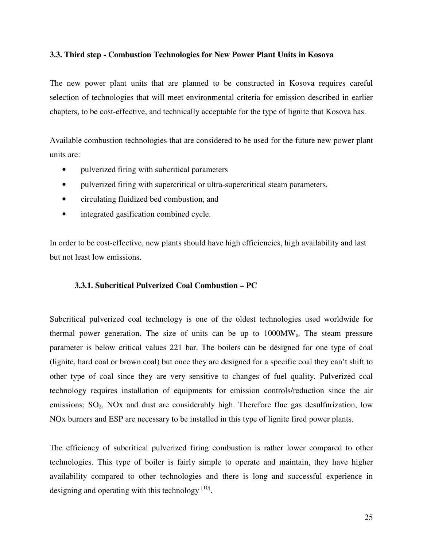#### **3.3. Third step - Combustion Technologies for New Power Plant Units in Kosova**

The new power plant units that are planned to be constructed in Kosova requires careful selection of technologies that will meet environmental criteria for emission described in earlier chapters, to be cost-effective, and technically acceptable for the type of lignite that Kosova has.

Available combustion technologies that are considered to be used for the future new power plant units are:

- pulverized firing with subcritical parameters
- pulverized firing with supercritical or ultra-supercritical steam parameters.
- circulating fluidized bed combustion, and
- integrated gasification combined cycle.

In order to be cost-effective, new plants should have high efficiencies, high availability and last but not least low emissions.

#### **3.3.1. Subcritical Pulverized Coal Combustion – PC**

Subcritical pulverized coal technology is one of the oldest technologies used worldwide for thermal power generation. The size of units can be up to 1000MWe. The steam pressure parameter is below critical values 221 bar. The boilers can be designed for one type of coal (lignite, hard coal or brown coal) but once they are designed for a specific coal they can't shift to other type of coal since they are very sensitive to changes of fuel quality. Pulverized coal technology requires installation of equipments for emission controls/reduction since the air emissions;  $SO_2$ , NOx and dust are considerably high. Therefore flue gas desulfurization, low NOx burners and ESP are necessary to be installed in this type of lignite fired power plants.

The efficiency of subcritical pulverized firing combustion is rather lower compared to other technologies. This type of boiler is fairly simple to operate and maintain, they have higher availability compared to other technologies and there is long and successful experience in designing and operating with this technology  $[10]$ .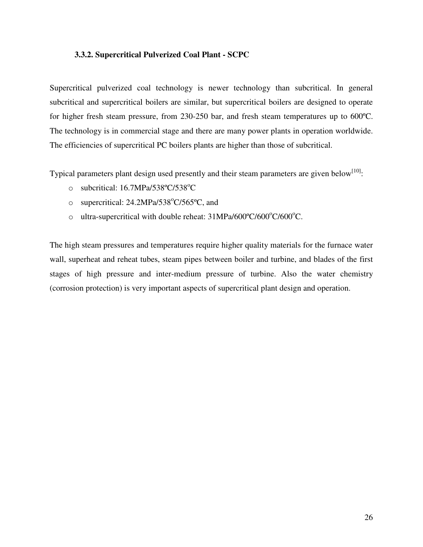#### **3.3.2. Supercritical Pulverized Coal Plant - SCPC**

Supercritical pulverized coal technology is newer technology than subcritical. In general subcritical and supercritical boilers are similar, but supercritical boilers are designed to operate for higher fresh steam pressure, from 230-250 bar, and fresh steam temperatures up to 600ºC. The technology is in commercial stage and there are many power plants in operation worldwide. The efficiencies of supercritical PC boilers plants are higher than those of subcritical.

Typical parameters plant design used presently and their steam parameters are given below<sup>[10]</sup>:

- $\circ$  subcritical: 16.7MPa/538°C/538°C
- o supercritical:  $24.2MPa/538^{\circ}C/565^{\circ}C$ , and
- o ultra-supercritical with double reheat: 31MPa/600°C/600°C/600°C.

The high steam pressures and temperatures require higher quality materials for the furnace water wall, superheat and reheat tubes, steam pipes between boiler and turbine, and blades of the first stages of high pressure and inter-medium pressure of turbine. Also the water chemistry (corrosion protection) is very important aspects of supercritical plant design and operation.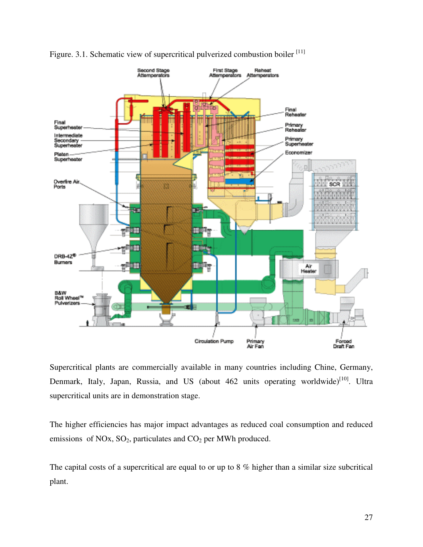



Supercritical plants are commercially available in many countries including Chine, Germany, Denmark, Italy, Japan, Russia, and US (about  $462$  units operating worldwide)<sup>[10]</sup>. Ultra supercritical units are in demonstration stage.

The higher efficiencies has major impact advantages as reduced coal consumption and reduced emissions of NOx,  $SO_2$ , particulates and  $CO_2$  per MWh produced.

The capital costs of a supercritical are equal to or up to 8 % higher than a similar size subcritical plant.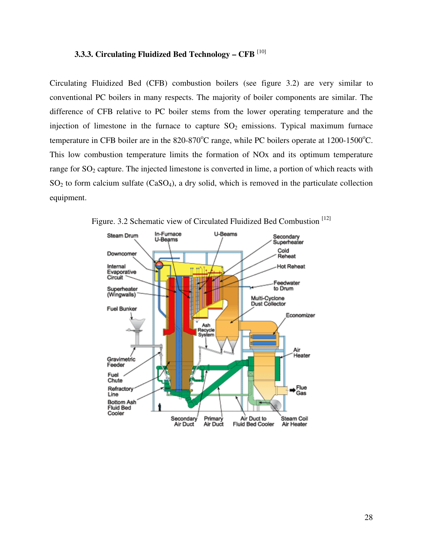#### **3.3.3. Circulating Fluidized Bed Technology – CFB** [10]

Circulating Fluidized Bed (CFB) combustion boilers (see figure 3.2) are very similar to conventional PC boilers in many respects. The majority of boiler components are similar. The difference of CFB relative to PC boiler stems from the lower operating temperature and the injection of limestone in the furnace to capture  $SO_2$  emissions. Typical maximum furnace temperature in CFB boiler are in the 820-870°C range, while PC boilers operate at 1200-1500°C. This low combustion temperature limits the formation of NOx and its optimum temperature range for  $SO_2$  capture. The injected limestone is converted in lime, a portion of which reacts with  $SO<sub>2</sub>$  to form calcium sulfate (CaSO<sub>4</sub>), a dry solid, which is removed in the particulate collection equipment.



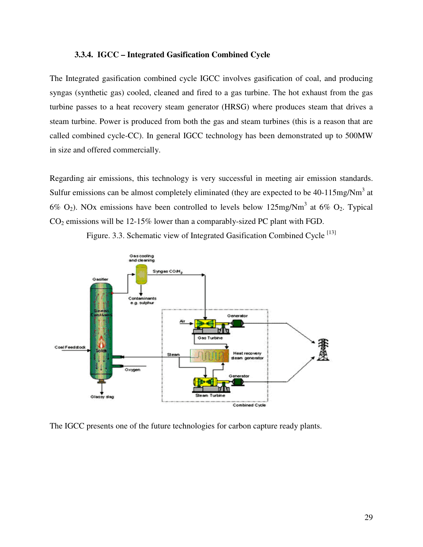#### **3.3.4. IGCC – Integrated Gasification Combined Cycle**

The Integrated gasification combined cycle IGCC involves gasification of coal, and producing syngas (synthetic gas) cooled, cleaned and fired to a gas turbine. The hot exhaust from the gas turbine passes to a heat recovery steam generator (HRSG) where produces steam that drives a steam turbine. Power is produced from both the gas and steam turbines (this is a reason that are called combined cycle-CC). In general IGCC technology has been demonstrated up to 500MW in size and offered commercially.

Regarding air emissions, this technology is very successful in meeting air emission standards. Sulfur emissions can be almost completely eliminated (they are expected to be  $40-115mg/Nm<sup>3</sup>$  at 6%  $O_2$ ). NOx emissions have been controlled to levels below 125mg/Nm<sup>3</sup> at 6%  $O_2$ . Typical  $CO<sub>2</sub>$  emissions will be 12-15% lower than a comparably-sized PC plant with FGD.



Figure. 3.3. Schematic view of Integrated Gasification Combined Cycle  $^{[13]}$ 

The IGCC presents one of the future technologies for carbon capture ready plants.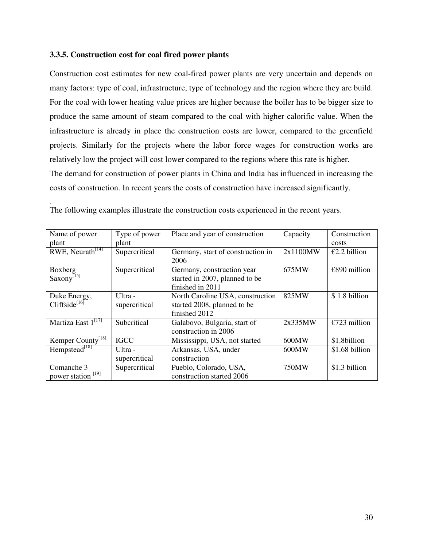#### **3.3.5. Construction cost for coal fired power plants**

.

Construction cost estimates for new coal-fired power plants are very uncertain and depends on many factors: type of coal, infrastructure, type of technology and the region where they are build. For the coal with lower heating value prices are higher because the boiler has to be bigger size to produce the same amount of steam compared to the coal with higher calorific value. When the infrastructure is already in place the construction costs are lower, compared to the greenfield projects. Similarly for the projects where the labor force wages for construction works are relatively low the project will cost lower compared to the regions where this rate is higher. The demand for construction of power plants in China and India has influenced in increasing the costs of construction. In recent years the costs of construction have increased significantly.

| Name of power                       | Type of power            | Place and year of construction                                                   | Capacity | Construction   |
|-------------------------------------|--------------------------|----------------------------------------------------------------------------------|----------|----------------|
| plant                               | plant                    |                                                                                  |          | costs          |
| RWE, Neurath <sup>[14]</sup>        | Supercritical            | Germany, start of construction in<br>2006                                        | 2x1100MW | €2.2 billion   |
| Boxberg<br>Saxony <sup>[15]</sup>   | Supercritical            | Germany, construction year<br>started in 2007, planned to be<br>finished in 2011 | 675MW    | €890 million   |
| Duke Energy,<br>Cliffside $^{[16]}$ | Ultra -<br>supercritical | North Caroline USA, construction<br>started 2008, planned to be<br>finished 2012 | 825MW    | \$1.8 billion  |
| Martiza East 1 <sup>[17]</sup>      | Subcritical              | Galabovo, Bulgaria, start of<br>construction in 2006                             | 2x335MW  | €723 million   |
| Kemper County <sup>[18]</sup>       | <b>IGCC</b>              | Mississippi, USA, not started                                                    | 600MW    | \$1.8billion   |
| Hempstead <sup>[18]</sup>           | Ultra -                  | Arkansas, USA, under                                                             | 600MW    | \$1.68 billion |
|                                     | supercritical            | construction                                                                     |          |                |
| Comanche 3                          | Supercritical            | Pueblo, Colorado, USA,                                                           | 750MW    | \$1.3 billion  |
| power station <sup>[19]</sup>       |                          | construction started 2006                                                        |          |                |

The following examples illustrate the construction costs experienced in the recent years.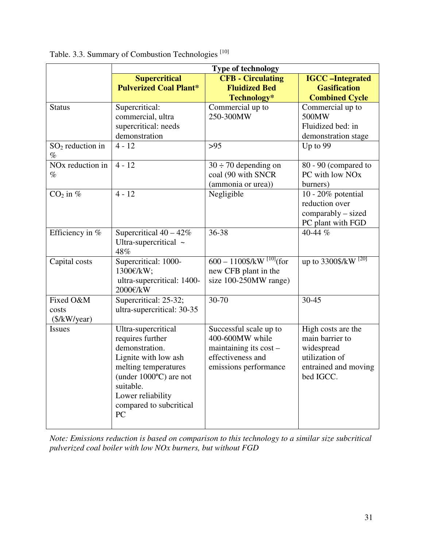|                                              | <b>Type of technology</b>                                                                                                                                                                                        |                                                                                                                     |                                                                                                            |  |
|----------------------------------------------|------------------------------------------------------------------------------------------------------------------------------------------------------------------------------------------------------------------|---------------------------------------------------------------------------------------------------------------------|------------------------------------------------------------------------------------------------------------|--|
|                                              | <b>Supercritical</b><br><b>Pulverized Coal Plant*</b>                                                                                                                                                            | <b>CFB</b> - Circulating<br><b>Fluidized Bed</b><br>Technology*                                                     | <b>IGCC-Integrated</b><br><b>Gasification</b><br><b>Combined Cycle</b>                                     |  |
| <b>Status</b><br>$SO2$ reduction in          | Supercritical:<br>commercial, ultra<br>supercritical: needs<br>demonstration<br>$4 - 12$                                                                                                                         | Commercial up to<br>250-300MW<br>$>95$                                                                              | Commercial up to<br>500MW<br>Fluidized bed: in<br>demonstration stage<br>Up to 99                          |  |
| $\%$<br>NO <sub>x</sub> reduction in<br>$\%$ | $4 - 12$                                                                                                                                                                                                         | $30 \div 70$ depending on<br>coal (90 with SNCR<br>(ammonia or urea))                                               | 80 - 90 (compared to<br>PC with low NO <sub>x</sub><br>burners)                                            |  |
| $CO2$ in %                                   | $4 - 12$                                                                                                                                                                                                         | Negligible                                                                                                          | 10 - 20% potential<br>reduction over<br>comparably - sized<br>PC plant with FGD                            |  |
| Efficiency in %                              | Supercritical $40 - 42\%$<br>Ultra-supercritical ~<br>48%                                                                                                                                                        | 36-38                                                                                                               | 40-44 %                                                                                                    |  |
| Capital costs                                | Supercritical: 1000-<br>1300€/kW;<br>ultra-supercritical: 1400-<br>2000€/kW                                                                                                                                      | $600 - 1100$ \$/kW <sup>[10]</sup> (for<br>new CFB plant in the<br>size 100-250MW range)                            | up to $3300$ \$/kW [20]                                                                                    |  |
| Fixed O&M<br>costs<br>(\$/kW/year)           | Supercritical: 25-32;<br>ultra-supercritical: 30-35                                                                                                                                                              | $30 - 70$                                                                                                           | 30-45                                                                                                      |  |
| <b>Issues</b>                                | Ultra-supercritical<br>requires further<br>demonstration.<br>Lignite with low ash<br>melting temperatures<br>(under $1000^{\circ}$ C) are not<br>suitable.<br>Lower reliability<br>compared to subcritical<br>PC | Successful scale up to<br>400-600MW while<br>maintaining its $cost$ –<br>effectiveness and<br>emissions performance | High costs are the<br>main barrier to<br>widespread<br>utilization of<br>entrained and moving<br>bed IGCC. |  |

Table. 3.3. Summary of Combustion Technologies<sup>[10]</sup>

*Note: Emissions reduction is based on comparison to this technology to a similar size subcritical pulverized coal boiler with low NOx burners, but without FGD*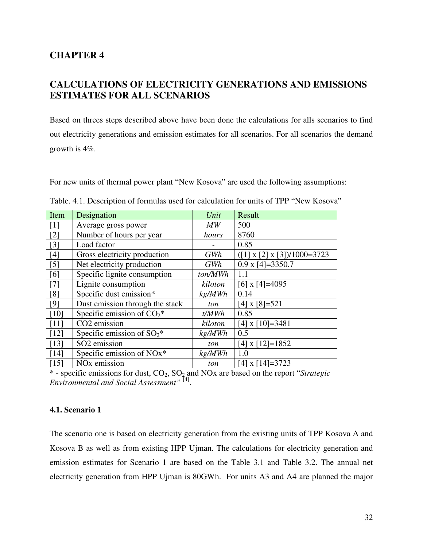# **CHAPTER 4**

# **CALCULATIONS OF ELECTRICITY GENERATIONS AND EMISSIONS ESTIMATES FOR ALL SCENARIOS**

Based on threes steps described above have been done the calculations for alls scenarios to find out electricity generations and emission estimates for all scenarios. For all scenarios the demand growth is 4%.

For new units of thermal power plant "New Kosova" are used the following assumptions:

| Item   | Designation                              | Unit    | Result                                  |
|--------|------------------------------------------|---------|-----------------------------------------|
| $[1]$  | Average gross power                      | MW      | 500                                     |
| $[2]$  | Number of hours per year                 | hours   | 8760                                    |
| $[3]$  | Load factor                              |         | 0.85                                    |
| $[4]$  | Gross electricity production             | GWh     | $([1] \times [2] \times [3])/1000=3723$ |
| $[5]$  | Net electricity production               | GWh     | $0.9 \times 4 = 3350.7$                 |
| [6]    | Specific lignite consumption             | ton/MWh | 1.1                                     |
| $[7]$  | Lignite consumption                      | kiloton | [6] x [4]=4095                          |
| [8]    | Specific dust emission*                  | kg/MWh  | 0.14                                    |
| [9]    | Dust emission through the stack          | ton     | $[4]$ x $[8] = 521$                     |
| [10]   | Specific emission of $CO_2$ <sup>*</sup> | t/MWh   | 0.85                                    |
| $[11]$ | CO <sub>2</sub> emission                 | kiloton | $[4]$ x $[10]=3481$                     |
| $[12]$ | Specific emission of $SO_2$ <sup>*</sup> | kg/MWh  | 0.5                                     |
| $[13]$ | SO <sub>2</sub> emission                 | ton     | $[4]$ x $[12] = 1852$                   |
| [14]   | Specific emission of NO <sub>x</sub> *   | kg/MWh  | 1.0                                     |
| [15]   | NO <sub>x</sub> emission                 | ton     | $[4]$ x $[14] = 3723$                   |

Table. 4.1. Description of formulas used for calculation for units of TPP "New Kosova"

\* - specific emissions for dust, CO2, SO2 and NOx are based on the report "*Strategic Environmental and Social Assessment"* [4] .

#### **4.1. Scenario 1**

The scenario one is based on electricity generation from the existing units of TPP Kosova A and Kosova B as well as from existing HPP Ujman. The calculations for electricity generation and emission estimates for Scenario 1 are based on the Table 3.1 and Table 3.2. The annual net electricity generation from HPP Ujman is 80GWh. For units A3 and A4 are planned the major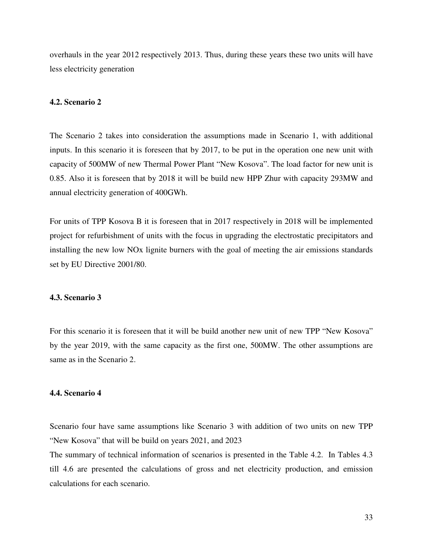overhauls in the year 2012 respectively 2013. Thus, during these years these two units will have less electricity generation

#### **4.2. Scenario 2**

The Scenario 2 takes into consideration the assumptions made in Scenario 1, with additional inputs. In this scenario it is foreseen that by 2017, to be put in the operation one new unit with capacity of 500MW of new Thermal Power Plant "New Kosova". The load factor for new unit is 0.85. Also it is foreseen that by 2018 it will be build new HPP Zhur with capacity 293MW and annual electricity generation of 400GWh.

For units of TPP Kosova B it is foreseen that in 2017 respectively in 2018 will be implemented project for refurbishment of units with the focus in upgrading the electrostatic precipitators and installing the new low NOx lignite burners with the goal of meeting the air emissions standards set by EU Directive 2001/80.

#### **4.3. Scenario 3**

For this scenario it is foreseen that it will be build another new unit of new TPP "New Kosova" by the year 2019, with the same capacity as the first one, 500MW. The other assumptions are same as in the Scenario 2.

#### **4.4. Scenario 4**

Scenario four have same assumptions like Scenario 3 with addition of two units on new TPP "New Kosova" that will be build on years 2021, and 2023

The summary of technical information of scenarios is presented in the Table 4.2. In Tables 4.3 till 4.6 are presented the calculations of gross and net electricity production, and emission calculations for each scenario.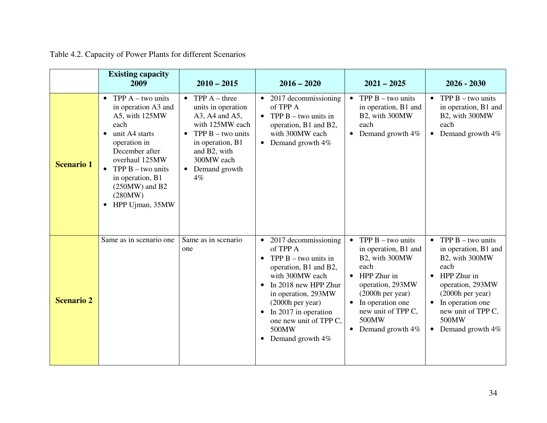|                   | <b>Existing capacity</b><br>2009                                                                                                                                                                                                                                                            | $2010 - 2015$                                                                                                                                                                                                     | $2016 - 2020$                                                                                                                                                                                                                                                                                           | $2021 - 2025$                                                                                                                                                                                                                                | $2026 - 2030$                                                                                                                                                                                                |
|-------------------|---------------------------------------------------------------------------------------------------------------------------------------------------------------------------------------------------------------------------------------------------------------------------------------------|-------------------------------------------------------------------------------------------------------------------------------------------------------------------------------------------------------------------|---------------------------------------------------------------------------------------------------------------------------------------------------------------------------------------------------------------------------------------------------------------------------------------------------------|----------------------------------------------------------------------------------------------------------------------------------------------------------------------------------------------------------------------------------------------|--------------------------------------------------------------------------------------------------------------------------------------------------------------------------------------------------------------|
| <b>Scenario 1</b> | TPP $A - two units$<br>$\bullet$<br>in operation A3 and<br>A5, with 125MW<br>each<br>unit A4 starts<br>$\bullet$<br>operation in<br>December after<br>overhaul 125MW<br>TPP $B - two units$<br>$\bullet$<br>in operation, B1<br>$(250MW)$ and B2<br>(280MW)<br>HPP Ujman, 35MW<br>$\bullet$ | TPP $A$ – three<br>$\bullet$<br>units in operation<br>A3, A4 and A5,<br>with 125MW each<br>TPP $B - two$ units<br>$\bullet$<br>in operation, B1<br>and B2, with<br>300MW each<br>Demand growth<br>$\bullet$<br>4% | $\bullet$ 2017 decommissioning<br>of TPP A<br>• TPP $B - two units in$<br>operation, B1 and B2,<br>with 300MW each<br>• Demand growth $4\%$                                                                                                                                                             | TPP $B$ – two units<br>$\bullet$<br>in operation, B1 and<br>B2, with 300MW<br>each<br>Demand growth 4%<br>$\bullet$                                                                                                                          | TPP $B$ – two units<br>$\bullet$<br>in operation, B1 and<br>B2, with 300MW<br>each<br>Demand growth 4%<br>$\bullet$                                                                                          |
| <b>Scenario 2</b> | Same as in scenario one                                                                                                                                                                                                                                                                     | Same as in scenario<br>one                                                                                                                                                                                        | $\bullet$ 2017 decommissioning<br>of TPP A<br>• TPP $B - two units in$<br>operation, B1 and B2,<br>with 300MW each<br>$\bullet$ In 2018 new HPP Zhur<br>in operation, 293MW<br>$(2000h$ per year)<br>$\bullet$ In 2017 in operation<br>one new unit of TPP C,<br>500MW<br>Demand growth 4%<br>$\bullet$ | TPP $B - two units$<br>$\bullet$<br>in operation, B1 and<br>B2, with 300MW<br>each<br>HPP Zhur in<br>$\bullet$<br>operation, 293MW<br>$(2000h$ per year)<br>In operation one<br>new unit of TPP C,<br>500MW<br>Demand growth 4%<br>$\bullet$ | • TPP $B - two units$<br>in operation, B1 and<br>B2, with 300MW<br>each<br>HPP Zhur in<br>operation, 293MW<br>$(2000h$ per year)<br>In operation one<br>new unit of TPP C,<br>500MW<br>Demand growth 4%<br>٠ |

| Table 4.2. Capacity of Power Plants for different Scenarios |  |  |  |  |  |  |
|-------------------------------------------------------------|--|--|--|--|--|--|
|-------------------------------------------------------------|--|--|--|--|--|--|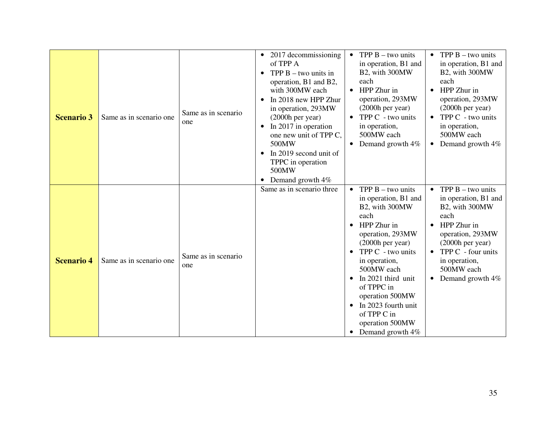| <b>Scenario 3</b> | Same as in scenario one  | Same as in scenario<br>one  | $\bullet$ 2017 decommissioning<br>of TPP A<br>TPP $B$ – two units in<br>$\bullet$<br>operation, B1 and B2,<br>with 300MW each<br>In 2018 new HPP Zhur<br>in operation, 293MW<br>(2000h per year)<br>In 2017 in operation<br>$\bullet$<br>one new unit of TPP C,<br>500MW<br>In 2019 second unit of<br>TPPC in operation<br>500MW<br>Demand growth 4% | TPP $B$ – two units<br>$\bullet$<br>in operation, B1 and<br>B2, with 300MW<br>each<br>HPP Zhur in<br>$\bullet$<br>operation, 293MW<br>$(2000h$ per year)<br>TPP C - two units<br>$\bullet$<br>in operation,<br>500MW each<br>Demand growth 4%                                                                                                                                           | TPP $B$ – two units<br>$\bullet$<br>in operation, B1 and<br>B2, with 300MW<br>each<br>HPP Zhur in<br>operation, 293MW<br>$(2000h \text{ per year})$<br>TPP C - two units<br>in operation,<br>500MW each<br>Demand growth 4%<br>$\bullet$ |
|-------------------|--------------------------|-----------------------------|------------------------------------------------------------------------------------------------------------------------------------------------------------------------------------------------------------------------------------------------------------------------------------------------------------------------------------------------------|-----------------------------------------------------------------------------------------------------------------------------------------------------------------------------------------------------------------------------------------------------------------------------------------------------------------------------------------------------------------------------------------|------------------------------------------------------------------------------------------------------------------------------------------------------------------------------------------------------------------------------------------|
| <b>Scenario 4</b> | Same as in scenario one. | Same as in scenario.<br>one | Same as in scenario three                                                                                                                                                                                                                                                                                                                            | TPP $B - two$ units<br>$\bullet$<br>in operation, B1 and<br>B2, with 300MW<br>each<br>HPP Zhur in<br>$\bullet$<br>operation, 293MW<br>$(2000h$ per year)<br>TPP C - two units<br>$\bullet$<br>in operation,<br>500MW each<br>In 2021 third unit<br>$\bullet$<br>of TPPC in<br>operation 500MW<br>In 2023 fourth unit<br>$\bullet$<br>of TPP C in<br>operation 500MW<br>Demand growth 4% | • TPP $B - two units$<br>in operation, B1 and<br>B2, with 300MW<br>each<br>HPP Zhur in<br>operation, 293MW<br>$(2000h$ per year)<br>TPP C - four units<br>in operation,<br>500MW each<br>Demand growth 4%<br>$\bullet$                   |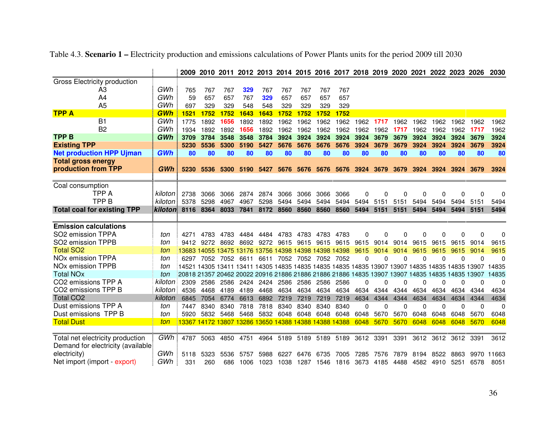|                                     |                | 2009                                                                                            |      |           |      |           |      |                                                       |                |      | 2010 2011 2012 2013 2014 2015 2016 2017 2018 2019 2020 2021 2022 2023 |      |      |              |                   |      | 2026         | 2030     |
|-------------------------------------|----------------|-------------------------------------------------------------------------------------------------|------|-----------|------|-----------|------|-------------------------------------------------------|----------------|------|-----------------------------------------------------------------------|------|------|--------------|-------------------|------|--------------|----------|
| <b>Gross Electricity production</b> |                |                                                                                                 |      |           |      |           |      |                                                       |                |      |                                                                       |      |      |              |                   |      |              |          |
| A <sub>3</sub>                      | GWh            | 765                                                                                             | 767  | 767       | 329  | 767       | 767  | 767                                                   | 767            | 767  |                                                                       |      |      |              |                   |      |              |          |
| A4                                  | GWh            | 59                                                                                              | 657  | 657       | 767  | 329       | 657  | 657                                                   | 657            | 657  |                                                                       |      |      |              |                   |      |              |          |
| A <sub>5</sub>                      | GWh            | 697                                                                                             | 329  | 329       | 548  | 548       | 329  | 329                                                   | 329            | 329  |                                                                       |      |      |              |                   |      |              |          |
| <b>TPP A</b>                        | <b>GWh</b>     | 1521                                                                                            | 1752 | 1752      | 1643 | 1643      | 1752 | 1752                                                  | 1752           | 1752 |                                                                       |      |      |              |                   |      |              |          |
| <b>B1</b>                           | GWh            | 1775                                                                                            | 1892 | 1656      | 1892 | 1892      | 1962 | 1962                                                  | 1962           | 1962 | 1962                                                                  | 1717 | 1962 | 1962         | 1962              | 1962 | 1962         | 1962     |
| B <sub>2</sub>                      | GWh            | 1934                                                                                            | 1892 | 1892      | 1656 | 1892      | 1962 | 1962                                                  | 1962           | 1962 | 1962                                                                  | 1962 | 1717 | 1962         | 1962              | 1962 | 1717         | 1962     |
| <b>TPPB</b>                         | GWh            | 3709                                                                                            | 3784 | 3548      | 3548 | 3784      | 3924 | 3924                                                  | 3924           | 3924 | 3924                                                                  | 3679 | 3679 | 3924         | 3924              | 3924 | 3679         | 3924     |
| <b>Existing TPP</b>                 |                | 5230                                                                                            | 5536 | 5300      | 5190 | 5427      | 5676 | 5676                                                  | 5676           | 5676 | 3924                                                                  | 3679 | 3679 | 3924         | 3924              | 3924 | 3679         | 3924     |
| <b>Net production HPP Ujman</b>     | <b>GWh</b>     | 80                                                                                              | 80   | 80        | 80   | 80        | 80   | 80                                                    | 80             | 80   | 80                                                                    | 80   | 80   | 80           | 80                | 80   | 80           | 80       |
| <b>Total gross energy</b>           |                |                                                                                                 |      |           |      |           |      |                                                       |                |      |                                                                       |      |      |              |                   |      |              |          |
| production from TPP                 | GWh            | 5230                                                                                            |      | 5536 5300 |      | 5190 5427 | 5676 |                                                       |                |      | 5676 5676 5676 3924 3679 3679                                         |      |      | 3924         | 3924              |      | 3924 3679    | 3924     |
|                                     |                |                                                                                                 |      |           |      |           |      |                                                       |                |      |                                                                       |      |      |              |                   |      |              |          |
| Coal consumption                    |                |                                                                                                 |      |           |      |           |      |                                                       |                |      |                                                                       |      |      |              |                   |      |              |          |
| TPP A                               | kiloton i      | 2738                                                                                            | 3066 | 3066      | 2874 | 2874      | 3066 | 3066                                                  | 3066           | 3066 | 0                                                                     | 0    | 0    | 0            | 0                 | 0    | $\Omega$     | 0        |
| <b>TPPB</b>                         | kiloton        | 5378                                                                                            | 5298 | 4967      | 4967 | 5298      | 5494 | 5494                                                  | 5494           | 5494 | 5494                                                                  | 5151 | 5151 | 5494         | 5494              | 5494 | 5151         | 5494     |
| <b>Total coal for existing TPP</b>  | <b>kiloton</b> | 8116                                                                                            | 8364 | 8033      | 7841 | 8172      | 8560 | 8560                                                  | 8560           | 8560 | 5494                                                                  | 5151 | 5151 | 5494         | 5494              | 5494 | 5151         | 5494     |
|                                     |                |                                                                                                 |      |           |      |           |      |                                                       |                |      |                                                                       |      |      |              |                   |      |              |          |
| <b>Emission calculations</b>        |                |                                                                                                 |      |           |      |           |      |                                                       |                |      |                                                                       |      |      |              |                   |      |              |          |
| SO2 emission TPPA                   | ton            | 4271                                                                                            | 4783 | 4783      | 4484 | 4484      | 4783 | 4783                                                  | 4783           | 4783 | 0                                                                     | 0    | O    | 0            | 0                 | 0    | $\Omega$     | $\Omega$ |
| SO2 emission TPPB                   | ton            | 9412                                                                                            | 9272 | 8692      | 8692 | 9272      | 9615 | 9615                                                  | 9615           | 9615 | 9615                                                                  | 9014 | 9014 | 9615         | 9615              | 9615 | 9014         | 9615     |
| <b>Total SO2</b>                    | ton            |                                                                                                 |      |           |      |           |      | 13683 14055 13475 13176 13756 14398 14398 14398 14398 |                |      | 9615                                                                  | 9014 | 9014 | 9615         | 9615              | 9615 | 9014         | 9615     |
| NO <sub>x</sub> emission TPPA       | ton            | 6297                                                                                            | 7052 | 7052      | 6611 | 6611      | 7052 |                                                       | 7052 7052 7052 |      | $\Omega$                                                              | 0    | 0    | $\Omega$     | 0                 | 0    | $\mathbf{0}$ | $\Omega$ |
| NO <sub>x</sub> emission TPPB       | ton            | 14521 14305 13411 13411 14305 14835 14835 14835 14835 14835 13907 13907 14835 14835 14835 13907 |      |           |      |           |      |                                                       |                |      |                                                                       |      |      |              |                   |      |              | 14835    |
| <b>Total NOx</b>                    | ton            | 20818 21357 20462 20022 20916 21886 21886 21886 21886 14835 13907 13907 14835                   |      |           |      |           |      |                                                       |                |      |                                                                       |      |      |              | 14835 14835 13907 |      |              | 14835    |
| CO2 emissions TPP A                 | kiloton i      | 2309                                                                                            | 2586 | 2586      | 2424 | 2424      | 2586 | 2586                                                  | 2586           | 2586 | $\Omega$                                                              | 0    | 0    | $\Omega$     | 0                 | 0    | $\Omega$     | $\Omega$ |
| CO2 emissions TPP B                 | kiloton        | 4536                                                                                            | 4468 | 4189      | 4189 | 4468      | 4634 | 4634                                                  | 4634           | 4634 | 4634                                                                  | 4344 | 4344 | 4634         | 4634              | 4634 | 4344         | 4634     |
| <b>Total CO2</b>                    | kiloton        | 6845                                                                                            | 7054 | 6774      | 6613 | 6892      | 7219 | 7219                                                  | 7219           | 7219 | 4634                                                                  | 4344 | 4344 | 4634         | 4634              | 4634 | 4344         | 4634     |
| Dust emissions TPP A                | ton            | 7447                                                                                            | 8340 | 8340      | 7818 | 7818      | 8340 | 8340                                                  | 8340           | 8340 | $\Omega$                                                              | 0    | 0    | $\mathbf{0}$ | $\Omega$          | 0    | 0            | $\Omega$ |
| Dust emissions TPP B                | ton            | 5920                                                                                            | 5832 | 5468      | 5468 | 5832      | 6048 | 6048                                                  | 6048           | 6048 | 6048                                                                  | 5670 | 5670 | 6048         | 6048              | 6048 | 5670         | 6048     |
| <b>Total Dust</b>                   | ton            | 13367                                                                                           |      |           |      |           |      | 4172 13807 13286 13650 14388 14388 14388 14388        |                |      | 6048                                                                  | 5670 | 5670 | 6048         | 6048              | 6048 | 5670         | 6048     |
|                                     |                |                                                                                                 |      |           |      |           |      |                                                       |                |      |                                                                       |      |      |              |                   |      |              |          |
| Total net electricity production    | GWh            | 4787                                                                                            | 5063 | 4850      | 4751 | 4964      | 5189 | 5189                                                  | 5189           | 5189 | 3612                                                                  | 3391 | 3391 | 3612         | 3612              | 3612 | 3391         | 3612     |
| Demand for electricity (available)  | GWh            |                                                                                                 |      |           |      |           |      |                                                       |                |      |                                                                       |      |      |              |                   |      |              |          |
| electricity)                        |                | 5118                                                                                            | 5323 | 5536      | 5757 | 5988      | 6227 | 6476                                                  | 6735           | 7005 | 7285                                                                  | 7576 | 7879 | 8194         | 8522              | 8863 | 9970         | 11663    |
| Net import (import - export)        | GWh            | 331                                                                                             | 260  | 686       | 1006 | 1023      | 1038 |                                                       | 1287 1546      | 1816 | 3673                                                                  | 4185 | 4488 | 4582         | 4910              | 5251 | 6578         | 8051     |

Table 4.3. **Scenario 1 –** Electricity production and emissions calculations of Power Plants units for the period 2009 till 2030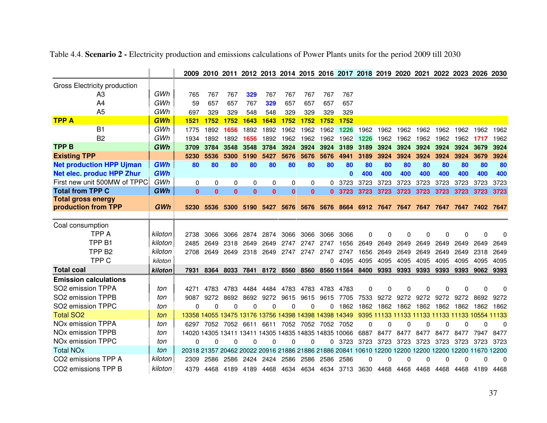|                                     |            |                                                                   |              |              |              | 2009 2010 2011 2012 2013 2014 2015 2016 2017 2018 2019 2020 2021 2022 2023 2026 2030 |          |           |           |              |                     |          |          |      |                |                                                |          |          |
|-------------------------------------|------------|-------------------------------------------------------------------|--------------|--------------|--------------|--------------------------------------------------------------------------------------|----------|-----------|-----------|--------------|---------------------|----------|----------|------|----------------|------------------------------------------------|----------|----------|
| Gross Electricity production        |            |                                                                   |              |              |              |                                                                                      |          |           |           |              |                     |          |          |      |                |                                                |          |          |
| A3                                  | GWh        | 765                                                               | 767          | 767          | 329          | 767                                                                                  | 767      | 767       | 767       | 767          |                     |          |          |      |                |                                                |          |          |
| A4                                  | GWh        | 59                                                                | 657          | 657          | 767          | 329                                                                                  | 657      | 657       | 657       | 657          |                     |          |          |      |                |                                                |          |          |
| A <sub>5</sub>                      | GWh        | 697                                                               | 329          | 329          | 548          | 548                                                                                  | 329      | 329       | 329       | 329          |                     |          |          |      |                |                                                |          |          |
| <b>TPP A</b>                        | GWh        | 1521                                                              | 1752         | 1752         | 1643         | 1643                                                                                 | 1752     | 1752      | 1752      | 1752         |                     |          |          |      |                |                                                |          |          |
| <b>B1</b>                           | GWh        | 1775                                                              | 1892         | 1656         | 1892         | 1892                                                                                 | 1962     | 1962      | 1962      | 1226         | 1962                | 1962     | 1962     | 1962 | 1962           | 1962                                           | 1962     | 1962     |
| B <sub>2</sub>                      | GWh        | 1934                                                              | 1892         | 1892         | 1656         | 1892                                                                                 | 1962     | 1962      | 1962      | 1962         | 1226                | 1962     | 1962     | 1962 | 1962           | 1962                                           | 1717     | 1962     |
| <b>TPPB</b>                         | GWh        | 3709                                                              | 3784         | 3548         | 3548         | 3784                                                                                 | 3924     | 3924      | 3924      | 3189         | 3189                | 3924     | 3924     | 3924 | 3924           | 3924                                           | 3679     | 3924     |
| <b>Existing TPP</b>                 |            | 5230                                                              | 5536         | 5300         | 5190         | 5427                                                                                 | 5676     | 5676      | 5676      | 4941         | 3189                | 3924     | 3924     | 3924 | 3924           | 3924                                           | 3679     | 3924     |
| <b>Net production HPP Ujman</b>     | GWh        | 80                                                                | 80           | 80           | 80           | 80                                                                                   | 80       | 80        | 80        | 80           | 80                  | 80       | 80       | 80   | 80             | 80                                             | 80       | 80       |
| Net elec. produc HPP Zhur           | <b>GWh</b> |                                                                   |              |              |              |                                                                                      |          |           |           | $\mathbf{0}$ | 400                 | 400      | 400      | 400  | 400            | 400                                            | 400      | 400      |
| First new unit 500MW of TPPC        | GWh        | 0                                                                 | $\Omega$     | 0            | 0            | 0                                                                                    | 0        | 0         | 0         | 3723         | 3723                | 3723     | 3723     | 3723 | 3723           | 3723                                           | 3723     | 3723     |
| <b>Total from TPP C</b>             | GWh        | $\bf{0}$                                                          | $\mathbf{0}$ | $\mathbf{0}$ | $\mathbf{0}$ | $\mathbf{0}$                                                                         | $\bf{0}$ | $\bf{0}$  | 0         | 3723         | 3723                | 3723     | 3723     | 3723 | 3723           | 3723                                           | 3723     | 3723     |
| <b>Total gross energy</b>           |            |                                                                   |              |              |              |                                                                                      |          |           |           |              |                     |          |          |      |                |                                                |          |          |
| production from TPP                 | GWh        | 5230                                                              | 5536         | 5300         | 5190         | 5427                                                                                 |          | 5676 5676 |           |              | 5676 8664 6912      | 7647     | 7647     | 7647 | 7647           | 7647                                           | 7402     | 7647     |
|                                     |            |                                                                   |              |              |              |                                                                                      |          |           |           |              |                     |          |          |      |                |                                                |          |          |
| Coal consumption                    |            |                                                                   |              |              |              |                                                                                      |          |           |           |              |                     |          |          |      |                |                                                |          |          |
| <b>TPP A</b>                        | kiloton    | 2738                                                              | 3066         | 3066         | 2874         | 2874                                                                                 | 3066     | 3066      | 3066      | 3066         | 0                   | $\Omega$ | 0        | 0    | 0              | $\Omega$                                       | 0        | 0        |
| TPP <sub>B1</sub>                   | kiloton    | 2485                                                              | 2649         | 2318         | 2649         | 2649                                                                                 | 2747     | 2747      | 2747      | 1656         | 2649                | 2649     | 2649     | 2649 | 2649           | 2649                                           | 2649     | 2649     |
| TPP <sub>B2</sub>                   | kiloton    | 2708                                                              | 2649         | 2649         | 2318         | 2649                                                                                 | 2747     | 2747      | 2747      | 2747         | 1656                | 2649     | 2649     | 2649 | 2649           | 2649                                           | 2318     | 2649     |
| TPP <sub>C</sub>                    | kiloton    |                                                                   |              |              |              |                                                                                      |          |           | ∩         | 4095         | 4095                | 4095     | 4095     | 4095 | 4095           | 4095                                           | 4095     | 4095     |
| <b>Total coal</b>                   | kiloton    | 7931                                                              | 8364         |              | 8033 7841    | 8172                                                                                 | 8560     | 8560      |           | 8560 11564   | 8400                | 9393     | 9393     | 9393 | 9393           | 9393                                           | 9062     | 9393     |
| <b>Emission calculations</b>        |            |                                                                   |              |              |              |                                                                                      |          |           |           |              |                     |          |          |      |                |                                                |          |          |
| SO2 emission TPPA                   | ton        | 4271                                                              | 4783         | 4783         | 4484         | 4484                                                                                 | 4783     | 4783      | 4783      | 4783         | 0                   | $\Omega$ | $\Omega$ | 0    | $\mathbf 0$    | 0                                              | 0        | 0        |
| SO2 emission TPPB                   | ton        | 9087                                                              | 9272         | 8692         | 8692         | 9272                                                                                 | 9615     | 9615      | 9615      | 7705         | 7533                | 9272     | 9272     | 9272 | 9272           | 9272                                           | 8692     | 9272     |
| SO2 emission TPPC                   | ton        | $\Omega$                                                          | $\Omega$     | 0            | $\Omega$     | $\Omega$                                                                             | 0        | $\Omega$  | U         | 1862         | 1862                | 1862     | 1862     | 1862 | 1862           | 1862                                           | 1862     | 1862     |
| <b>Total SO2</b>                    | ton        | 13358 14055 13475 13176 13756 14398 14398 14398 14349             |              |              |              |                                                                                      |          |           |           |              |                     |          |          |      |                | 9395 11133 11133 11133 11133 11133 10554 11133 |          |          |
| <b>NO<sub>x</sub></b> emission TPPA | ton        | 6297                                                              |              | 7052 7052    | 6611         | 6611                                                                                 | 7052     | 7052      | 7052 7052 |              | 0                   | $\Omega$ | 0        | 0    | $\Omega$       | ი                                              | Ω        | 0        |
| NO <sub>x</sub> emission TPPB       | ton        | 14020 14305 13411 13411 14305 14835 14835 14835 10066             |              |              |              |                                                                                      |          |           |           |              | 6887                | 8477     | 8477     | 8477 | 8477           | 8477                                           | 7947     | 8477     |
| <b>NO<sub>x</sub></b> emission TPPC | ton        | 0                                                                 | $\Omega$     | 0            | $\Omega$     | 0                                                                                    | 0        | $\Omega$  | 0         | 3723         | 3723                | 3723     | 3723     | 3723 | 3723           | 3723                                           | 3723     | 3723     |
| <b>Total NOx</b>                    | ton        | 20318 21357 20462 20022 20916 21886 21886 21886 20841 10610 12200 |              |              |              |                                                                                      |          |           |           |              |                     |          |          |      |                | 12200 12200 12200 12200 11670 12200            |          |          |
| CO2 emissions TPP A                 | kiloton    | 2309                                                              | 2586         | 2586         | 2424         | 2424                                                                                 | 2586     | 2586      | 2586      | 2586         | O                   | $\Omega$ | $\Omega$ | 0    | $\Omega$       | O                                              | $\Omega$ | $\Omega$ |
| CO <sub>2</sub> emissions TPP B     | kiloton    | 4379                                                              |              | 4468 4189    | 4189         | 4468                                                                                 | 4634     | 4634      |           |              | 4634 3713 3630 4468 |          |          |      | 4468 4468 4468 | 4468                                           | 4189     | 4468     |

Table 4.4. **Scenario 2 -** Electricity production and emissions calculations of Power Plants units for the period 2009 till 2030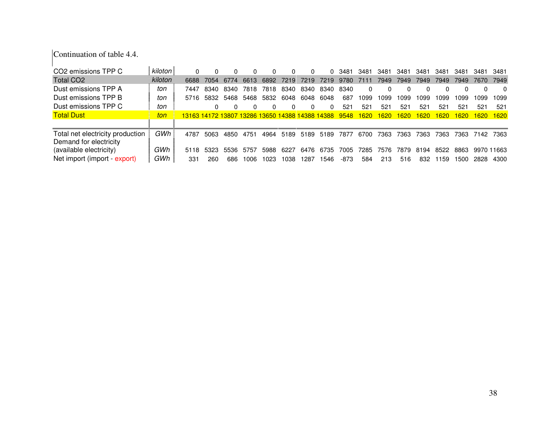Continuation of table 4.4.

| CO2 emissions TPP C              | kiloton |                                                 |      |           |      |      |      |      |      | 0 3481 | 3481        | 3481 | 3481          | 3481        | 3481        | 3481 | 3481       | 3481        |
|----------------------------------|---------|-------------------------------------------------|------|-----------|------|------|------|------|------|--------|-------------|------|---------------|-------------|-------------|------|------------|-------------|
| Total CO <sub>2</sub>            | kiloton | 6688                                            | 7054 | 6774      | 6613 | 6892 | 7219 | 7219 | 7219 | 9780   | 7111        | 7949 | 7949          | 7949        | 7949        | 7949 | 7670       | 7949        |
| Dust emissions TPP A             | ton     | 7447                                            | 8340 | 8340      | 7818 | 7818 | 8340 | 8340 | 8340 | 8340   | 0           |      | <sup>0</sup>  |             |             |      |            | 0           |
| Dust emissions TPP B             | ton     | 5716                                            |      | 5832 5468 | 5468 | 5832 | 6048 | 6048 | 6048 | 687    | 1099        | 1099 | 1099          | 1099        | 1099        | 1099 | 1099       | 1099        |
| Dust emissions TPP C             | ton     |                                                 |      |           |      |      |      |      |      | 521    | 521         | 521  | 521           | 521         | 521         | 521  | 521        | 521         |
| <b>Total Dust</b>                | ton     | 13163 14172 13807 13286 13650 14388 14388 14388 |      |           |      |      |      |      |      | 9548   | <b>1620</b> | 1620 | <u> 620 l</u> | <b>1620</b> | <b>1620</b> | 1620 | 1620       | <b>1620</b> |
|                                  |         |                                                 |      |           |      |      |      |      |      |        |             |      |               |             |             |      |            |             |
| Total net electricity production | GWh     | 4787                                            | 5063 | 4850      | 4751 | 4964 | 5189 | 5189 | 5189 | 7877   | 6700        | 7363 | 7363          | 7363        | 7363        | 7363 | 7142 7363  |             |
| Demand for electricity           |         |                                                 |      |           |      |      |      |      |      |        |             |      |               |             |             |      |            |             |
| (available electricity)          | GWh     | 5118                                            | 5323 | 5536      | 5757 | 5988 | 6227 | 6476 | 6735 | 7005   | 7285        | 7576 | 7879.         | 8194        | 8522        | 8863 | 9970 11663 |             |
| Net import (import - export)     | GWh     | 331                                             | 260  | 686       | 1006 | 1023 | 1038 | 1287 | 1546 | -873   | 584         | 213  | 516           | 832         | 1159        | 1500 | 2828       | 4300        |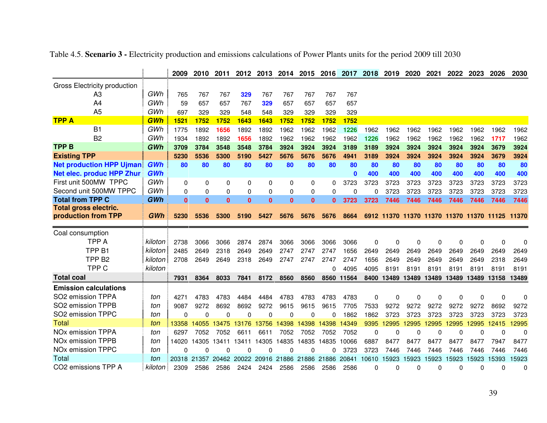|                                     |            | 2009         | 2010         | 2011         | 2012         | 2013         | 2014         | 2015         | 2016         | 2017     | 2018         | 2019  | 2020         | 2021     | 2022         | 2023     | 2026                                           | 2030         |
|-------------------------------------|------------|--------------|--------------|--------------|--------------|--------------|--------------|--------------|--------------|----------|--------------|-------|--------------|----------|--------------|----------|------------------------------------------------|--------------|
| Gross Electricity production        |            |              |              |              |              |              |              |              |              |          |              |       |              |          |              |          |                                                |              |
| A3                                  | GWh        | 765          | 767          | 767          | 329          | 767          | 767          | 767          | 767          | 767      |              |       |              |          |              |          |                                                |              |
| A4                                  | GWh        | 59           | 657          | 657          | 767          | 329          | 657          | 657          | 657          | 657      |              |       |              |          |              |          |                                                |              |
| A <sub>5</sub>                      | GWh        | 697          | 329          | 329          | 548          | 548          | 329          | 329          | 329          | 329      |              |       |              |          |              |          |                                                |              |
| <b>TPP A</b>                        | GWh        | 1521         | 1752         | 1752         | 1643         | 1643         | 1752         | 1752         | 1752         | 1752     |              |       |              |          |              |          |                                                |              |
| <b>B1</b>                           | GWh        | 1775         | 1892         | 1656         | 1892         | 1892         | 1962         | 1962         | 1962         | 1226     | 1962         | 1962  | 1962         | 1962     | 1962         | 1962     | 1962                                           | 1962         |
| B <sub>2</sub>                      | GWh        | 1934         | 1892         | 1892         | 1656         | 1892         | 1962         | 1962         | 1962         | 1962     | 1226         | 1962  | 1962         | 1962     | 1962         | 1962     | 1717                                           | 1962         |
| <b>TPPB</b>                         | GWh        | 3709         | 3784         | 3548         | 3548         | 3784         | 3924         | 3924         | 3924         | 3189     | 3189         | 3924  | 3924         | 3924     | 3924         | 3924     | 3679                                           | 3924         |
| <b>Existing TPP</b>                 |            | 5230         | 5536         | 5300         | 5190         | 5427         | 5676         | 5676         | 5676         | 4941     | 3189         | 3924  | 3924         | 3924     | 3924         | 3924     | 3679                                           | 3924         |
| <b>Net production HPP Ujman</b>     | <b>GWh</b> | 80           | 80           | 80           | 80           | 80           | 80           | 80           | 80           | 80       | 80           | 80    | 80           | 80       | 80           | 80       | 80                                             | 80           |
| <b>Net elec. produc HPP Zhur</b>    | GWh        |              |              |              |              |              |              |              |              | $\bf{0}$ | 400          | 400   | 400          | 400      | 400          | 400      | 400                                            | 400          |
| First unit 500MW TPPC               | GWh        | 0            | 0            | $\Omega$     | 0            | 0            | 0            | 0            | $\Omega$     | 3723     | 3723         | 3723  | 3723         | 3723     | 3723         | 3723     | 3723                                           | 3723         |
| Second unit 500MW TPPC              | GWh        | $\Omega$     | 0            | 0            | $\Omega$     | 0            | 0            | 0            | $\Omega$     | 0        | 0            | 3723  | 3723         | 3723     | 3723         | 3723     | 3723                                           | 3723         |
| <b>Total from TPP C</b>             | GWh        | $\mathbf{0}$ | $\mathbf{0}$ | $\mathbf{0}$ | $\mathbf{0}$ | $\mathbf{0}$ | $\mathbf{0}$ | $\mathbf{0}$ | $\mathbf{0}$ | 3723     | 3723         | 7446  | 7446         | 7446     | 7446         | 7446     | 7446                                           | 7446         |
| <b>Total gross electric.</b>        |            |              |              |              |              |              |              |              |              |          |              |       |              |          |              |          |                                                |              |
| production from TPP                 | GWh        | 5230         | 5536         | 5300         | 5190         | 5427         | 5676         | 5676         | 5676         | 8664     |              |       |              |          |              |          | 6912 11370 11370 11370 11370 11370 11125 11370 |              |
| Coal consumption                    |            |              |              |              |              |              |              |              |              |          |              |       |              |          |              |          |                                                |              |
| <b>TPP A</b>                        | kiloton    | 2738         | 3066         | 3066         | 2874         | 2874         | 3066         | 3066         | 3066         | 3066     | $\mathbf{0}$ | 0     | $\Omega$     | $\Omega$ | $\mathbf{0}$ | $\Omega$ | $\mathbf 0$                                    | $\Omega$     |
| TPP <sub>B1</sub>                   | kiloton    | 2485         | 2649         | 2318         | 2649         | 2649         | 2747         | 2747         | 2747         | 1656     | 2649         | 2649  | 2649         | 2649     | 2649         | 2649     | 2649                                           | 2649         |
| TPP <sub>B2</sub>                   | kiloton    | 2708         | 2649         | 2649         | 2318         | 2649         | 2747         | 2747         | 2747         | 2747     | 1656         | 2649  | 2649         | 2649     | 2649         | 2649     | 2318                                           | 2649         |
| TPP <sub>C</sub>                    | kiloton    |              |              |              |              |              |              |              | 0            | 4095     | 4095         | 8191  | 8191         | 8191     | 8191         | 8191     | 8191                                           | 8191         |
| <b>Total coal</b>                   |            | 7931         | 8364         | 8033         | 7841         | 8172         | 8560         | 8560         | 8560         | 11564    | 8400         | 13489 | 13489        | 13489    | 13489        | 13489    | 13158                                          | 13489        |
| <b>Emission calculations</b>        |            |              |              |              |              |              |              |              |              |          |              |       |              |          |              |          |                                                |              |
| SO <sub>2</sub> emission TPPA       | ton        | 4271         | 4783         | 4783         | 4484         | 4484         | 4783         | 4783         | 4783         | 4783     | 0            | 0     | $\mathbf{0}$ | $\Omega$ | $\mathbf{0}$ | 0        | 0                                              | $\mathbf{0}$ |
| SO2 emission TPPB                   | ton        | 9087         | 9272         | 8692         | 8692         | 9272         | 9615         | 9615         | 9615         | 7705     | 7533         | 9272  | 9272         | 9272     | 9272         | 9272     | 8692                                           | 9272         |
| SO2 emission TPPC                   | ton        | 0            | $\Omega$     | $\Omega$     | $\Omega$     | 0            | 0            | $\Omega$     | 0            | 1862     | 1862         | 3723  | 3723         | 3723     | 3723         | 3723     | 3723                                           | 3723         |
| Total                               | ton        | 13358        | 14055        | 13475        | 13176        | 13756        | 14398        | 14398        | 14398        | 14349    | 9395         | 12995 | 2995         | 2995     | 12995        | 12995    | 12415                                          | 2995         |
| <b>NO<sub>x</sub></b> emission TPPA | ton        | 6297         | 7052         | 7052         | 6611         | 6611         | 7052         | 7052         | 7052         | 7052     | 0            | 0     | 0            | 0        | 0            | 0        | 0                                              | 0            |
| <b>NO<sub>x</sub></b> emission TPPB | ton        | 14020        | 14305        | 13411        | 13411        | 14305        | 14835        | 14835        | 14835        | 10066    | 6887         | 8477  | 8477         | 8477     | 8477         | 8477     | 7947                                           | 8477         |
| NO <sub>x</sub> emission TPPC       | ton        | 0            | $\Omega$     | 0            | $\Omega$     | O            | 0            | $\Omega$     | O            | 3723     | 3723         | 7446  | 7446         | 7446     | 7446         | 7446     | 7446                                           | 7446         |
| Total                               | ton        | 20318 21357  |              | 20462        | 20022        | 20916        | 21886        | 21886        | 21886        | 20841    | 10610        | 15923 | 15923        | 15923    | 15923        | 15923    | 15393                                          | 15923        |
| CO2 emissions TPP A                 | kiloton    | 2309         | 2586         | 2586         | 2424         | 2424         | 2586         | 2586         | 2586         | 2586     | 0            | 0     | 0            | 0        | 0            | 0        | 0                                              | 0            |

Table 4.5. **Scenario 3 -** Electricity production and emissions calculations of Power Plants units for the period 2009 till 2030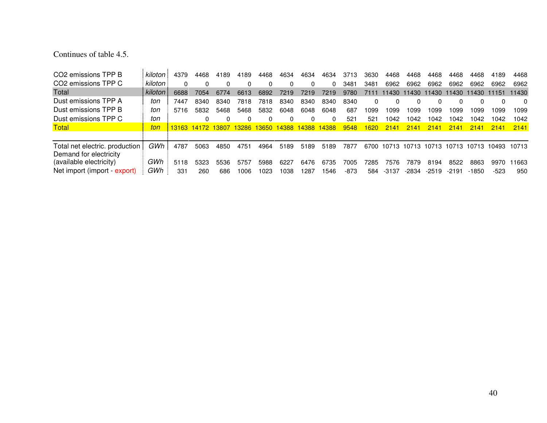# Continues of table 4.5.

| CO <sub>2</sub> emissions TPP B | kiloton | 4379 | 4468              | 4189 | 4189 | 4468          | 4634         | 4634     | 4634  | 3713         | 3630     | 4468  | 4468        | 4468    | 4468        | 4468  | 4189  | 4468     |
|---------------------------------|---------|------|-------------------|------|------|---------------|--------------|----------|-------|--------------|----------|-------|-------------|---------|-------------|-------|-------|----------|
| CO <sub>2</sub> emissions TPP C | kiloton |      |                   |      |      |               |              | $\Omega$ |       | 3481         | 3481     | 6962  | 6962        | 6962    | 6962        | 6962  | 6962  | 6962     |
| Total                           | kiloton | 6688 | 7054              | 6774 | 6613 | 6892          | 7219         | 7219     | 7219  | 9780         | 7111     | 11430 | 11430       |         | 11430 11430 | 11430 | 11151 | 11430    |
| Dust emissions TPP A            | ton     | 7447 | 8340              | 8340 | 7818 | 7818          | 8340         | 8340     | 8340  | 8340         | $\Omega$ |       |             |         |             |       | 0     | $\Omega$ |
| Dust emissions TPP B            | ton     | 5716 | 5832              | 5468 | 5468 | 5832          | 6048         | 6048     | 6048  | 687          | 1099     | 1099  | 1099        | 1099    | 1099        | 1099  | 1099  | 1099     |
| Dust emissions TPP C            | ton     |      |                   |      |      |               | <sup>0</sup> |          |       | $52^{\circ}$ | 521      | 042   | 1042        | 1042    | 1042        | 1042  | 1042  | 1042     |
| Total                           | ton     |      | 13163 14172 13807 |      |      | 13286 13650 l | 14388        | 14388    | 14388 | 9548         | 1620     | 2141  | 2141        | 2141    | 2141        | 2141  | 2141  | 2141     |
|                                 |         |      |                   |      |      |               |              |          |       |              |          |       |             |         |             |       |       |          |
| Total net electric. production  | GWh     | 4787 | 5063              | 4850 | 4751 | 4964          | 5189         | 5189     | 5189  | 7877         | 6700     |       | 10713 10713 | 10713   | 10713       | 10713 | 10493 | 10713    |
| Demand for electricity          |         |      |                   |      |      |               |              |          |       |              |          |       |             |         |             |       |       |          |
| (available electricity)         | GWh     | 5118 | 5323              | 5536 | 5757 | 5988          | 6227         | 6476     | 6735  | 7005         | 7285     | 7576  | 7879        | 8194    | 8522        | 8863  | 9970  | 11663    |
| Net import (import - export)    | GWh     | 331  | 260               | 686  | 1006 | 1023          | 1038         | 1287     | 546   | -873         | 584      | -3137 | -2834       | $-2519$ | $-2191$     | -1850 | -523  | 950      |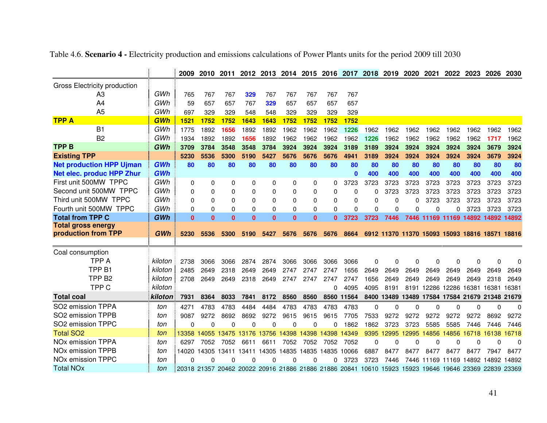|                                     |            | 2009         | 2010         | 2011     |                               | 2012 2013    |              | 2014 2015    | 2016                                                                                                  | 2017         | 2018     | 2019     | 2020        | 2021                                           | 2022         | 2023         | 2026         | 2030     |
|-------------------------------------|------------|--------------|--------------|----------|-------------------------------|--------------|--------------|--------------|-------------------------------------------------------------------------------------------------------|--------------|----------|----------|-------------|------------------------------------------------|--------------|--------------|--------------|----------|
| Gross Electricity production        |            |              |              |          |                               |              |              |              |                                                                                                       |              |          |          |             |                                                |              |              |              |          |
| A3                                  | GWh        | 765          | 767          | 767      | 329                           | 767          | 767          | 767          | 767                                                                                                   | 767          |          |          |             |                                                |              |              |              |          |
| A4                                  | GWh        | 59           | 657          | 657      | 767                           | 329          | 657          | 657          | 657                                                                                                   | 657          |          |          |             |                                                |              |              |              |          |
| A <sub>5</sub>                      | GWh        | 697          | 329          | 329      | 548                           | 548          | 329          | 329          | 329                                                                                                   | 329          |          |          |             |                                                |              |              |              |          |
| <b>TPP A</b>                        | GWh        | 1521         | 1752         | 1752     | 1643                          | 1643         | 1752         | 1752         | 1752                                                                                                  | 1752         |          |          |             |                                                |              |              |              |          |
| <b>B1</b>                           | GWh        | 1775         | 1892         | 1656     | 1892                          | 1892         | 1962         | 1962         | 1962                                                                                                  | 1226         | 1962     | 1962     | 1962        | 1962                                           | 1962         | 1962         | 1962         | 1962     |
| B <sub>2</sub>                      | GWh        | 1934         | 1892         | 1892     | 1656                          | 1892         | 1962         | 1962         | 1962                                                                                                  | 1962         | 1226     | 1962     | 1962        | 1962                                           | 1962         | 1962         | 1717         | 1962     |
| <b>TPP B</b>                        | GWh        | 3709         | 3784         | 3548     | 3548                          | 3784         | 3924         | 3924         | 3924                                                                                                  | 3189         | 3189     | 3924     | 3924        | 3924                                           | 3924         | 3924         | 3679         | 3924     |
| <b>Existing TPP</b>                 |            | 5230         | 5536         | 5300     | 5190                          | 5427         | 5676         | 5676         | 5676                                                                                                  | 4941         | 3189     | 3924     | 3924        | 3924                                           | 3924         | 3924         | 3679         | 3924     |
| <b>Net production HPP Ujman</b>     | GWh        | 80           | 80           | 80       | 80                            | 80           | 80           | 80           | 80                                                                                                    | 80           | 80       | 80       | 80          | 80                                             | 80           | 80           | 80           | 80       |
| <b>Net elec. produc HPP Zhur</b>    | <b>GWh</b> |              |              |          |                               |              |              |              |                                                                                                       | $\mathbf{0}$ | 400      | 400      | 400         | 400                                            | 400          | 400          | 400          | 400      |
| First unit 500MW TPPC               | GWh        | 0            | $\mathbf 0$  | 0        | 0                             | 0            | 0            | 0            | 0                                                                                                     | 3723         | 3723     | 3723     | 3723        | 3723                                           | 3723         | 3723         | 3723         | 3723     |
| Second unit 500MW TPPC              | GWh        | 0            | 0            | 0        | 0                             | 0            | $\Omega$     | 0            | 0                                                                                                     | $\Omega$     | 0        | 3723     | 3723        | 3723                                           | 3723         | 3723         | 3723         | 3723     |
| Third unit 500MW TPPC               | GWh        | 0            | $\Omega$     | 0        | 0                             | 0            | $\Omega$     | 0            | 0                                                                                                     | $\Omega$     | 0        | $\Omega$ | U           | 3723                                           | 3723         | 3723         | 3723         | 3723     |
| Fourth unit 500MW TPPC              | GWh        | 0            | 0            | 0        | 0                             | 0            | $\Omega$     | 0            | 0                                                                                                     | $\Omega$     | $\Omega$ | $\Omega$ | 0           | $\mathbf{0}$                                   | 0            | 3723         | 3723         | 3723     |
| <b>Total from TPP C</b>             | <b>GWh</b> | $\mathbf{0}$ | $\mathbf{0}$ | $\bf{0}$ | $\bf{0}$                      | $\mathbf{0}$ | $\mathbf{0}$ | $\mathbf{0}$ | $\mathbf{0}$                                                                                          | 3723         | 3723     | 7446     | 7446        | 11169                                          | 11169        | 14892        | 14892        | 14892    |
| <b>Total gross energy</b>           |            |              |              |          |                               |              |              |              |                                                                                                       |              |          |          |             |                                                |              |              |              |          |
| production from TPP                 | GWh        | 5230         | 5536         | 5300     | 5190                          | 5427         | 5676         | 5676         | 5676                                                                                                  | 8664         |          |          |             | 6912 11370 11370 15093 15093 18816 18571 18816 |              |              |              |          |
|                                     |            |              |              |          |                               |              |              |              |                                                                                                       |              |          |          |             |                                                |              |              |              |          |
| Coal consumption                    |            |              |              |          |                               |              |              |              |                                                                                                       |              |          |          |             |                                                |              |              |              |          |
| <b>TPP A</b>                        | kiloton    | 2738         | 3066         | 3066     | 2874                          | 2874         | 3066         | 3066         | 3066                                                                                                  | 3066         | 0        | $\Omega$ | 0           | $\mathbf{0}$                                   | $\Omega$     | $\mathbf{0}$ | 0            | $\Omega$ |
| TPP <sub>B1</sub>                   | kiloton    | 2485         | 2649         | 2318     | 2649                          | 2649         | 2747         | 2747         | 2747                                                                                                  | 1656         | 2649     | 2649     | 2649        | 2649                                           | 2649         | 2649         | 2649         | 2649     |
| TPP <sub>B2</sub>                   | kiloton    | 2708         | 2649         | 2649     | 2318                          | 2649         | 2747         | 2747         | 2747                                                                                                  | 2747         | 1656     | 2649     | 2649        | 2649                                           | 2649         | 2649         | 2318         | 2649     |
| TPP <sub>C</sub>                    | kiloton    |              |              |          |                               |              |              |              | 0                                                                                                     | 4095         | 4095     | 8191     |             | 8191 12286                                     | 12286        | 16381 16381  |              | 16381    |
| <b>Total coal</b>                   | kiloton    | 7931         | 8364         | 8033     | 7841                          | 8172         | 8560         | 8560         |                                                                                                       | 8560 11564   | 8400     | 13489    | 13489 17584 |                                                | 17584 21679  |              | 21348 21679  |          |
| SO2 emission TPPA                   | ton        | 4271         | 4783         | 4783     | 4484                          | 4484         | 4783         | 4783         | 4783                                                                                                  | 4783         | $\Omega$ | $\Omega$ | O           | $\Omega$                                       | $\mathbf{0}$ | $\Omega$     | $\mathbf{0}$ | $\Omega$ |
| SO2 emission TPPB                   | ton        | 9087         | 9272         | 8692     | 8692                          | 9272         | 9615         | 9615         | 9615                                                                                                  | 7705         | 7533     | 9272     | 9272        | 9272                                           | 9272         | 9272         | 8692         | 9272     |
| SO2 emission TPPC                   | ton        | 0            | $\mathbf{0}$ | $\Omega$ | 0                             | O            | 0            | 0            | 0                                                                                                     | 1862         | 1862     | 3723     | 3723        | 5585                                           | 5585         | 7446         | 7446         | 7446     |
| <b>Total SO2</b>                    | ton        | 13358        | 14055        | 13475    | 13176                         | 13756        | 4398<br>п    | 14398        | 14398                                                                                                 | 14349        | 9395     | 12995    | 2995<br>-1  | 14856                                          | 14856        | 16718        | 16138        | 16718    |
| NO <sub>x</sub> emission TPPA       | ton        | 6297         | 7052         | 7052     | 6611                          | 6611         | 7052         | 7052         | 7052                                                                                                  | 7052         | 0        | $\Omega$ | 0           | $\Omega$                                       | $\Omega$     | $\Omega$     | $\Omega$     | $\Omega$ |
| <b>NO<sub>x</sub></b> emission TPPB | ton        |              |              |          | 14020 14305 13411 13411 14305 |              |              |              | 14835 14835 14835 10066                                                                               |              | 6887     | 8477     | 8477        | 8477                                           | 8477         | 8477         | 7947         | 8477     |
| NO <sub>x</sub> emission TPPC       | ton        | 0            | 0            | n        | U                             |              | 0            |              | 0                                                                                                     | 3723         | 3723     | 7446     | 7446        | 11169                                          | 11169        | 14892        | 14892        | 14892    |
| <b>Total NOx</b>                    | ton        |              |              |          |                               |              |              |              | 20318 21357 20462 20022 20916 21886 21886 21886 20841 10610 15923 15923 19646 19646 23369 22839 23369 |              |          |          |             |                                                |              |              |              |          |

Table 4.6. **Scenario 4 -** Electricity production and emissions calculations of Power Plants units for the period 2009 till 2030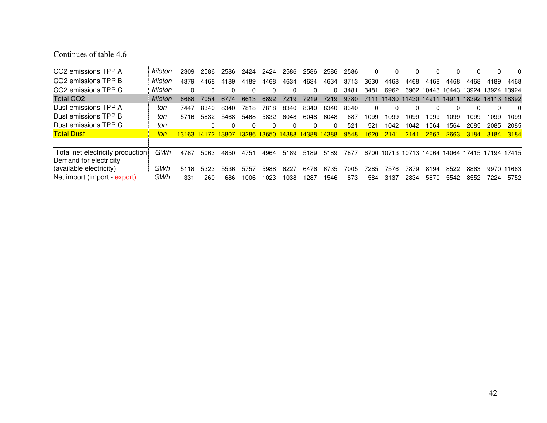# Continues of table 4.6

| CO <sub>2</sub> emissions TPP A  | kiloton | 2309                                            | 2586 | 2586     | 2424 | 2424 | 2586 | 2586         | 2586     | 2586 | <sup>0</sup> | $\Omega$    |       |                   |       | <sup>0</sup>                       | <sup>0</sup> | 0          |
|----------------------------------|---------|-------------------------------------------------|------|----------|------|------|------|--------------|----------|------|--------------|-------------|-------|-------------------|-------|------------------------------------|--------------|------------|
| CO <sub>2</sub> emissions TPP B  | kiloton | 4379                                            | 4468 | 4189     | 4189 | 4468 | 4634 | 4634         | 4634     | 3713 | 3630         | 4468        | 4468  | 4468              | 4468  | 4468                               | 4189         | 4468       |
| CO <sub>2</sub> emissions TPP C  | kiloton |                                                 |      | $\Omega$ |      |      |      | <sup>0</sup> | $\Omega$ | 3481 | 3481         | 6962        |       |                   |       | 6962 10443 10443 13924 13924 13924 |              |            |
| Total CO <sub>2</sub>            | kiloton | 6688                                            | 7054 | 6774     | 6613 | 6892 | 7219 | 7219         | 7219     | 9780 | 7111         | 11430       |       | 11430 14911 14911 |       | 18392 18113 18392                  |              |            |
| Dust emissions TPP A             | ton     | 7447                                            | 8340 | 8340     | 7818 | 7818 | 8340 | 8340         | 8340     | 8340 | 0            | $\Omega$    |       |                   | 0     | <sup>0</sup>                       |              | 0          |
| Dust emissions TPP B             | ton     | 5716                                            | 5832 | 5468     | 5468 | 5832 | 6048 | 6048         | 6048     | 687  | 1099         | 1099        | 1099  | 1099              | 1099  | 1099                               | 1099         | 1099       |
| Dust emissions TPP C             | ton     |                                                 | 0    | 0        |      |      |      |              | $\Omega$ | 521  | 521          | 1042        | 1042  | 1564              | 1564  | 2085                               | 2085         | 2085       |
| <b>Total Dust</b>                | ton     | 13163 14172 13807 13286 13650 14388 14388 14388 |      |          |      |      |      |              |          | 9548 | 1620         | 2141        | 2141  | 2663              | 2663  | <b>3184</b>                        | 3184         | 3184       |
|                                  |         |                                                 |      |          |      |      |      |              |          |      |              |             |       |                   |       |                                    |              |            |
| Total net electricity production | GWh     | 4787                                            | 5063 | 4850     | 4751 | 4964 | 5189 | 5189         | 5189     | 7877 | 6700         | 10713 10713 |       |                   |       | 14064 14064 17415 17194 17415      |              |            |
| Demand for electricity           |         |                                                 |      |          |      |      |      |              |          |      |              |             |       |                   |       |                                    |              |            |
| (available electricity)          | GWh     | 5118                                            | 5323 | 5536     | 5757 | 5988 | 6227 | 6476         | 6735     | 7005 | 7285         | 7576        | 7879  | 8194              | 8522  | 8863                               |              | 9970 11663 |
| Net import (import - export)     | GWh     | 331                                             | 260  | 686      | 1006 | 1023 | 1038 | 1287         | 1546     | -873 | 584          | $-3137$     | -2834 | -5870             | -5542 | -8552                              | -7224        | -5752      |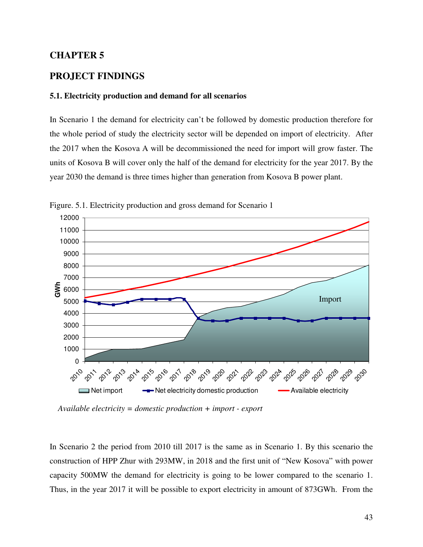### **CHAPTER 5**

# **PROJECT FINDINGS**

#### **5.1. Electricity production and demand for all scenarios**

In Scenario 1 the demand for electricity can't be followed by domestic production therefore for the whole period of study the electricity sector will be depended on import of electricity. After the 2017 when the Kosova A will be decommissioned the need for import will grow faster. The units of Kosova B will cover only the half of the demand for electricity for the year 2017. By the year 2030 the demand is three times higher than generation from Kosova B power plant.



Figure. 5.1. Electricity production and gross demand for Scenario 1

 *Available electricity = domestic production + import - export* 

In Scenario 2 the period from 2010 till 2017 is the same as in Scenario 1. By this scenario the construction of HPP Zhur with 293MW, in 2018 and the first unit of "New Kosova" with power capacity 500MW the demand for electricity is going to be lower compared to the scenario 1. Thus, in the year 2017 it will be possible to export electricity in amount of 873GWh. From the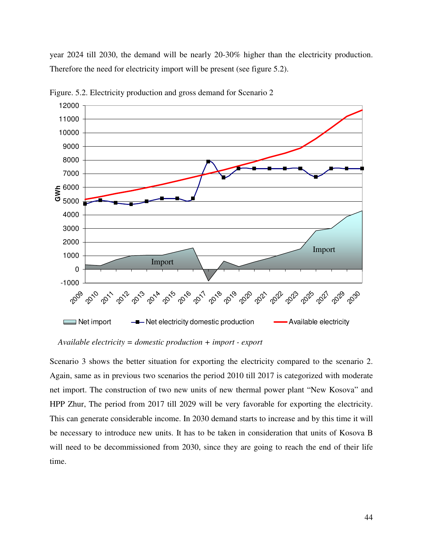year 2024 till 2030, the demand will be nearly 20-30% higher than the electricity production. Therefore the need for electricity import will be present (see figure 5.2).



Figure. 5.2. Electricity production and gross demand for Scenario 2

 *Available electricity = domestic production + import - export* 

Scenario 3 shows the better situation for exporting the electricity compared to the scenario 2. Again, same as in previous two scenarios the period 2010 till 2017 is categorized with moderate net import. The construction of two new units of new thermal power plant "New Kosova" and HPP Zhur, The period from 2017 till 2029 will be very favorable for exporting the electricity. This can generate considerable income. In 2030 demand starts to increase and by this time it will be necessary to introduce new units. It has to be taken in consideration that units of Kosova B will need to be decommissioned from 2030, since they are going to reach the end of their life time.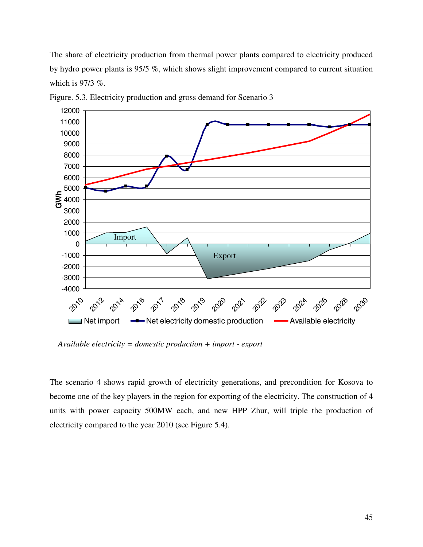The share of electricity production from thermal power plants compared to electricity produced by hydro power plants is 95/5 %, which shows slight improvement compared to current situation which is 97/3 %.



Figure. 5.3. Electricity production and gross demand for Scenario 3

 *Available electricity = domestic production + import - export* 

The scenario 4 shows rapid growth of electricity generations, and precondition for Kosova to become one of the key players in the region for exporting of the electricity. The construction of 4 units with power capacity 500MW each, and new HPP Zhur, will triple the production of electricity compared to the year 2010 (see Figure 5.4).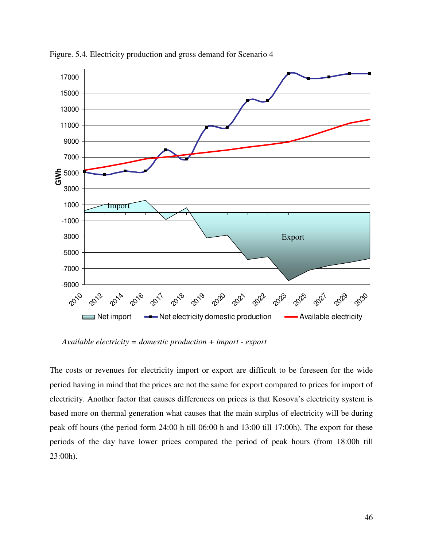

Figure. 5.4. Electricity production and gross demand for Scenario 4

 *Available electricity = domestic production + import - export* 

The costs or revenues for electricity import or export are difficult to be foreseen for the wide period having in mind that the prices are not the same for export compared to prices for import of electricity. Another factor that causes differences on prices is that Kosova's electricity system is based more on thermal generation what causes that the main surplus of electricity will be during peak off hours (the period form 24:00 h till 06:00 h and 13:00 till 17:00h). The export for these periods of the day have lower prices compared the period of peak hours (from 18:00h till 23:00h).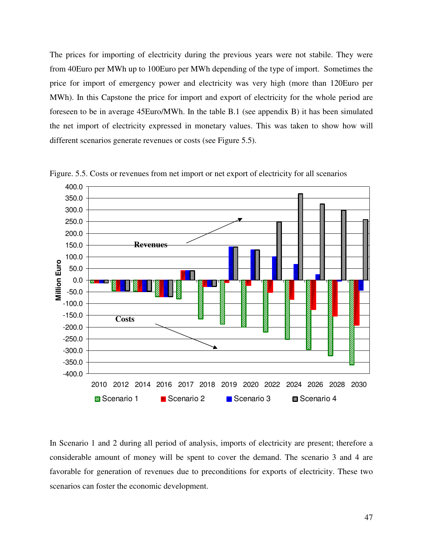The prices for importing of electricity during the previous years were not stabile. They were from 40Euro per MWh up to 100Euro per MWh depending of the type of import. Sometimes the price for import of emergency power and electricity was very high (more than 120Euro per MWh). In this Capstone the price for import and export of electricity for the whole period are foreseen to be in average 45Euro/MWh. In the table B.1 (see appendix B) it has been simulated the net import of electricity expressed in monetary values. This was taken to show how will different scenarios generate revenues or costs (see Figure 5.5).



Figure. 5.5. Costs or revenues from net import or net export of electricity for all scenarios

In Scenario 1 and 2 during all period of analysis, imports of electricity are present; therefore a considerable amount of money will be spent to cover the demand. The scenario 3 and 4 are favorable for generation of revenues due to preconditions for exports of electricity. These two scenarios can foster the economic development.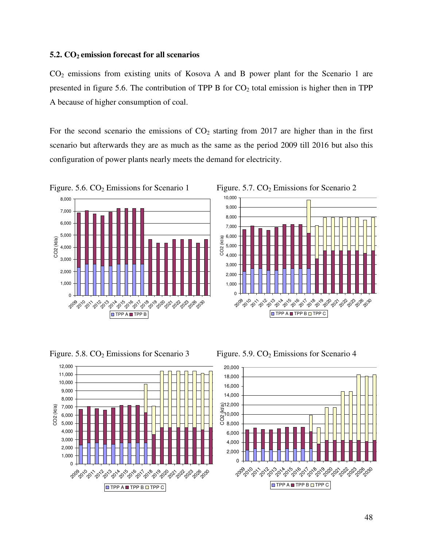#### **5.2. CO2 emission forecast for all scenarios**

CO2 emissions from existing units of Kosova A and B power plant for the Scenario 1 are presented in figure 5.6. The contribution of TPP B for  $CO<sub>2</sub>$  total emission is higher then in TPP A because of higher consumption of coal.

For the second scenario the emissions of  $CO<sub>2</sub>$  starting from 2017 are higher than in the first scenario but afterwards they are as much as the same as the period 2009 till 2016 but also this configuration of power plants nearly meets the demand for electricity.



Figure. 5.8.  $CO_2$  Emissions for Scenario 3 Figure. 5.9.  $CO_2$  Emissions for Scenario 4





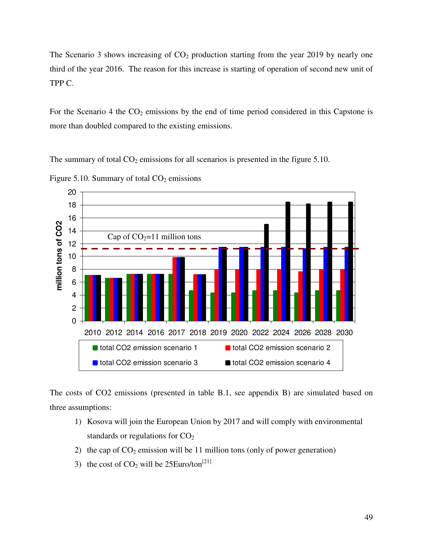The Scenario 3 shows increasing of  $CO<sub>2</sub>$  production starting from the year 2019 by nearly one third of the year 2016. The reason for this increase is starting of operation of second new unit of TPP C.

For the Scenario 4 the  $CO<sub>2</sub>$  emissions by the end of time period considered in this Capstone is more than doubled compared to the existing emissions.

The summary of total  $CO<sub>2</sub>$  emissions for all scenarios is presented in the figure 5.10.



Figure 5.10. Summary of total  $CO<sub>2</sub>$  emissions

The costs of CO2 emissions (presented in table B.1, see appendix B) are simulated based on three assumptions:

- 1) Kosova will join the European Union by 2017 and will comply with environmental standards or regulations for  $CO<sub>2</sub>$
- 2) the cap of  $CO_2$  emission will be 11 million tons (only of power generation)
- 3) the cost of  $CO<sub>2</sub>$  will be 25Euro/ton<sup>[21]</sup>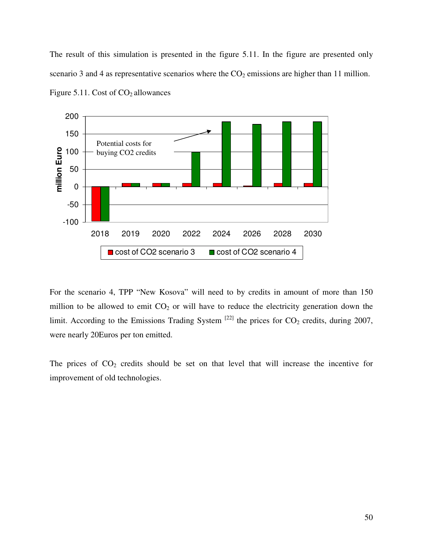The result of this simulation is presented in the figure 5.11. In the figure are presented only scenario 3 and 4 as representative scenarios where the  $CO<sub>2</sub>$  emissions are higher than 11 million.



Figure 5.11. Cost of  $CO<sub>2</sub>$  allowances

For the scenario 4, TPP "New Kosova" will need to by credits in amount of more than 150 million to be allowed to emit  $CO<sub>2</sub>$  or will have to reduce the electricity generation down the limit. According to the Emissions Trading System  $^{[22]}$  the prices for  $CO_2$  credits, during 2007, were nearly 20Euros per ton emitted.

The prices of  $CO<sub>2</sub>$  credits should be set on that level that will increase the incentive for improvement of old technologies.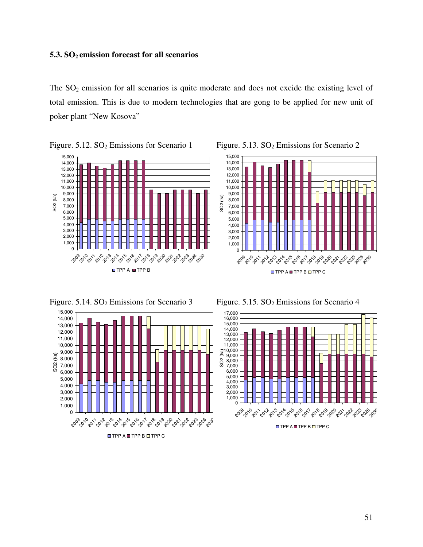#### **5.3. SO2 emission forecast for all scenarios**

The  $SO_2$  emission for all scenarios is quite moderate and does not excide the existing level of total emission. This is due to modern technologies that are gong to be applied for new unit of poker plant "New Kosova"







Figure. 5.14.  $SO_2$  Emissions for Scenario 3 Figure. 5.15.  $SO_2$  Emissions for Scenario 4



 $\Box$  TPP A  $\Box$  TPP B  $\Box$  TPP C

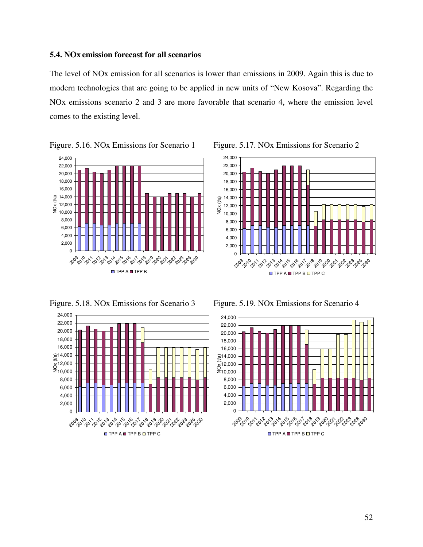### **5.4. NOx emission forecast for all scenarios**

The level of NOx emission for all scenarios is lower than emissions in 2009. Again this is due to modern technologies that are going to be applied in new units of "New Kosova". Regarding the NOx emissions scenario 2 and 3 are more favorable that scenario 4, where the emission level comes to the existing level.



Figure. 5.16. NOx Emissions for Scenario 1 Figure. 5.17. NOx Emissions for Scenario 2

Figure. 5.18. NOx Emissions for Scenario 3 Figure. 5.19. NOx Emissions for Scenario 4





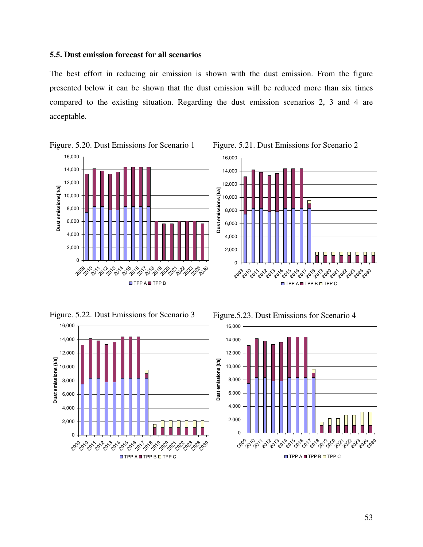#### **5.5. Dust emission forecast for all scenarios**

The best effort in reducing air emission is shown with the dust emission. From the figure presented below it can be shown that the dust emission will be reduced more than six times compared to the existing situation. Regarding the dust emission scenarios 2, 3 and 4 are acceptable.





Figure. 5.20. Dust Emissions for Scenario 1 Figure. 5.21. Dust Emissions for Scenario 2



Figure. 5.22. Dust Emissions for Scenario 3 Figure. 5.23. Dust Emissions for Scenario 4

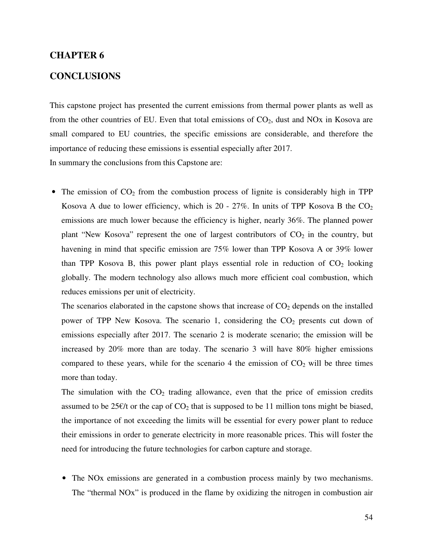#### **CHAPTER 6**

#### **CONCLUSIONS**

This capstone project has presented the current emissions from thermal power plants as well as from the other countries of EU. Even that total emissions of  $CO<sub>2</sub>$ , dust and NOx in Kosova are small compared to EU countries, the specific emissions are considerable, and therefore the importance of reducing these emissions is essential especially after 2017. In summary the conclusions from this Capstone are:

• The emission of  $CO<sub>2</sub>$  from the combustion process of lignite is considerably high in TPP Kosova A due to lower efficiency, which is  $20 - 27\%$ . In units of TPP Kosova B the  $CO<sub>2</sub>$ emissions are much lower because the efficiency is higher, nearly 36%. The planned power plant "New Kosova" represent the one of largest contributors of  $CO<sub>2</sub>$  in the country, but havening in mind that specific emission are 75% lower than TPP Kosova A or 39% lower than TPP Kosova B, this power plant plays essential role in reduction of  $CO<sub>2</sub>$  looking globally. The modern technology also allows much more efficient coal combustion, which reduces emissions per unit of electricity.

The scenarios elaborated in the capstone shows that increase of  $CO<sub>2</sub>$  depends on the installed power of TPP New Kosova. The scenario 1, considering the  $CO<sub>2</sub>$  presents cut down of emissions especially after 2017. The scenario 2 is moderate scenario; the emission will be increased by 20% more than are today. The scenario 3 will have 80% higher emissions compared to these years, while for the scenario 4 the emission of  $CO<sub>2</sub>$  will be three times more than today.

The simulation with the  $CO<sub>2</sub>$  trading allowance, even that the price of emission credits assumed to be 25 $\epsilon$ /t or the cap of CO<sub>2</sub> that is supposed to be 11 million tons might be biased, the importance of not exceeding the limits will be essential for every power plant to reduce their emissions in order to generate electricity in more reasonable prices. This will foster the need for introducing the future technologies for carbon capture and storage.

• The NOx emissions are generated in a combustion process mainly by two mechanisms. The "thermal NOx" is produced in the flame by oxidizing the nitrogen in combustion air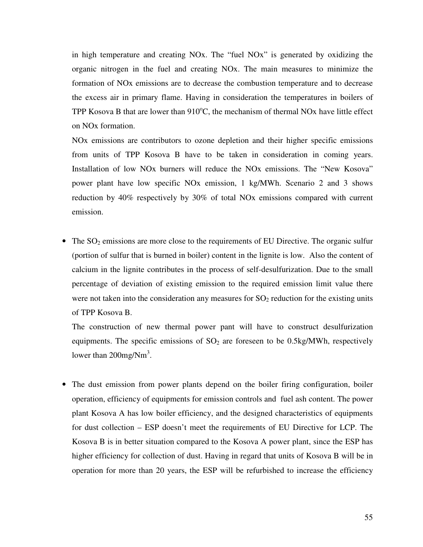in high temperature and creating NOx. The "fuel NOx" is generated by oxidizing the organic nitrogen in the fuel and creating NOx. The main measures to minimize the formation of NOx emissions are to decrease the combustion temperature and to decrease the excess air in primary flame. Having in consideration the temperatures in boilers of TPP Kosova B that are lower than  $910^{\circ}$ C, the mechanism of thermal NOx have little effect on NOx formation.

NOx emissions are contributors to ozone depletion and their higher specific emissions from units of TPP Kosova B have to be taken in consideration in coming years. Installation of low NOx burners will reduce the NOx emissions. The "New Kosova" power plant have low specific NOx emission, 1 kg/MWh. Scenario 2 and 3 shows reduction by 40% respectively by 30% of total NOx emissions compared with current emission.

• The  $SO_2$  emissions are more close to the requirements of EU Directive. The organic sulfur (portion of sulfur that is burned in boiler) content in the lignite is low. Also the content of calcium in the lignite contributes in the process of self-desulfurization. Due to the small percentage of deviation of existing emission to the required emission limit value there were not taken into the consideration any measures for  $SO<sub>2</sub>$  reduction for the existing units of TPP Kosova B.

The construction of new thermal power pant will have to construct desulfurization equipments. The specific emissions of  $SO<sub>2</sub>$  are foreseen to be 0.5kg/MWh, respectively lower than  $200$ mg/Nm<sup>3</sup>.

• The dust emission from power plants depend on the boiler firing configuration, boiler operation, efficiency of equipments for emission controls and fuel ash content. The power plant Kosova A has low boiler efficiency, and the designed characteristics of equipments for dust collection – ESP doesn't meet the requirements of EU Directive for LCP. The Kosova B is in better situation compared to the Kosova A power plant, since the ESP has higher efficiency for collection of dust. Having in regard that units of Kosova B will be in operation for more than 20 years, the ESP will be refurbished to increase the efficiency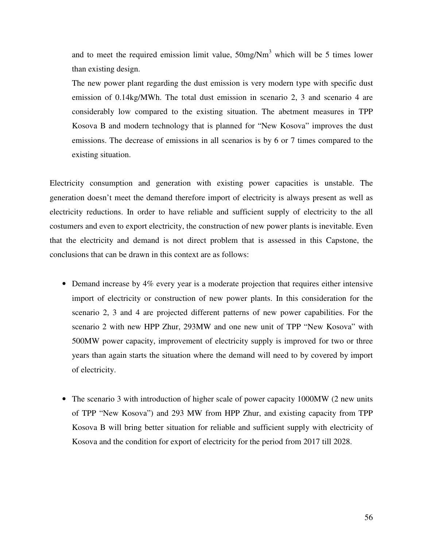and to meet the required emission limit value,  $50$ mg/Nm<sup>3</sup> which will be 5 times lower than existing design.

The new power plant regarding the dust emission is very modern type with specific dust emission of 0.14kg/MWh. The total dust emission in scenario 2, 3 and scenario 4 are considerably low compared to the existing situation. The abetment measures in TPP Kosova B and modern technology that is planned for "New Kosova" improves the dust emissions. The decrease of emissions in all scenarios is by 6 or 7 times compared to the existing situation.

Electricity consumption and generation with existing power capacities is unstable. The generation doesn't meet the demand therefore import of electricity is always present as well as electricity reductions. In order to have reliable and sufficient supply of electricity to the all costumers and even to export electricity, the construction of new power plants is inevitable. Even that the electricity and demand is not direct problem that is assessed in this Capstone, the conclusions that can be drawn in this context are as follows:

- Demand increase by 4% every year is a moderate projection that requires either intensive import of electricity or construction of new power plants. In this consideration for the scenario 2, 3 and 4 are projected different patterns of new power capabilities. For the scenario 2 with new HPP Zhur, 293MW and one new unit of TPP "New Kosova" with 500MW power capacity, improvement of electricity supply is improved for two or three years than again starts the situation where the demand will need to by covered by import of electricity.
- The scenario 3 with introduction of higher scale of power capacity 1000MW (2 new units of TPP "New Kosova") and 293 MW from HPP Zhur, and existing capacity from TPP Kosova B will bring better situation for reliable and sufficient supply with electricity of Kosova and the condition for export of electricity for the period from 2017 till 2028.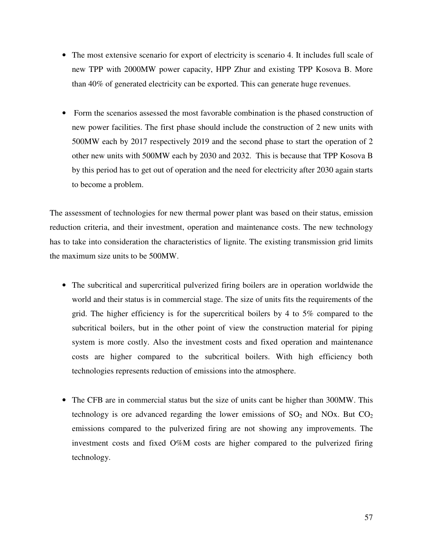- The most extensive scenario for export of electricity is scenario 4. It includes full scale of new TPP with 2000MW power capacity, HPP Zhur and existing TPP Kosova B. More than 40% of generated electricity can be exported. This can generate huge revenues.
- Form the scenarios assessed the most favorable combination is the phased construction of new power facilities. The first phase should include the construction of 2 new units with 500MW each by 2017 respectively 2019 and the second phase to start the operation of 2 other new units with 500MW each by 2030 and 2032. This is because that TPP Kosova B by this period has to get out of operation and the need for electricity after 2030 again starts to become a problem.

The assessment of technologies for new thermal power plant was based on their status, emission reduction criteria, and their investment, operation and maintenance costs. The new technology has to take into consideration the characteristics of lignite. The existing transmission grid limits the maximum size units to be 500MW.

- The subcritical and supercritical pulverized firing boilers are in operation worldwide the world and their status is in commercial stage. The size of units fits the requirements of the grid. The higher efficiency is for the supercritical boilers by 4 to 5% compared to the subcritical boilers, but in the other point of view the construction material for piping system is more costly. Also the investment costs and fixed operation and maintenance costs are higher compared to the subcritical boilers. With high efficiency both technologies represents reduction of emissions into the atmosphere.
- The CFB are in commercial status but the size of units cant be higher than 300MW. This technology is ore advanced regarding the lower emissions of  $SO<sub>2</sub>$  and NOx. But  $CO<sub>2</sub>$ emissions compared to the pulverized firing are not showing any improvements. The investment costs and fixed O%M costs are higher compared to the pulverized firing technology.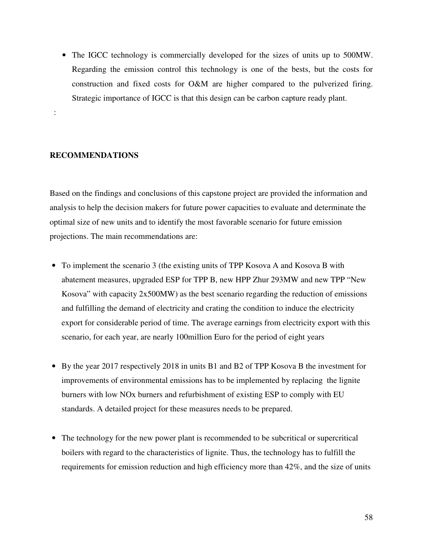• The IGCC technology is commercially developed for the sizes of units up to 500MW. Regarding the emission control this technology is one of the bests, but the costs for construction and fixed costs for O&M are higher compared to the pulverized firing. Strategic importance of IGCC is that this design can be carbon capture ready plant.

#### **RECOMMENDATIONS**

:

Based on the findings and conclusions of this capstone project are provided the information and analysis to help the decision makers for future power capacities to evaluate and determinate the optimal size of new units and to identify the most favorable scenario for future emission projections. The main recommendations are:

- To implement the scenario 3 (the existing units of TPP Kosova A and Kosova B with abatement measures, upgraded ESP for TPP B, new HPP Zhur 293MW and new TPP "New Kosova" with capacity 2x500MW) as the best scenario regarding the reduction of emissions and fulfilling the demand of electricity and crating the condition to induce the electricity export for considerable period of time. The average earnings from electricity export with this scenario, for each year, are nearly 100million Euro for the period of eight years
- By the year 2017 respectively 2018 in units B1 and B2 of TPP Kosova B the investment for improvements of environmental emissions has to be implemented by replacing the lignite burners with low NOx burners and refurbishment of existing ESP to comply with EU standards. A detailed project for these measures needs to be prepared.
- The technology for the new power plant is recommended to be subcritical or supercritical boilers with regard to the characteristics of lignite. Thus, the technology has to fulfill the requirements for emission reduction and high efficiency more than 42%, and the size of units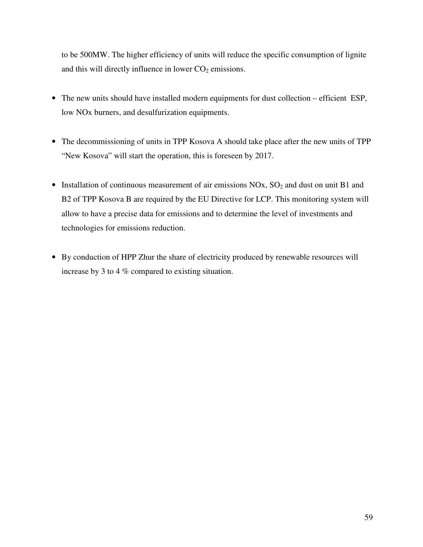to be 500MW. The higher efficiency of units will reduce the specific consumption of lignite and this will directly influence in lower  $CO<sub>2</sub>$  emissions.

- The new units should have installed modern equipments for dust collection efficient ESP, low NOx burners, and desulfurization equipments.
- The decommissioning of units in TPP Kosova A should take place after the new units of TPP "New Kosova" will start the operation, this is foreseen by 2017.
- Installation of continuous measurement of air emissions  $NOx$ ,  $SO<sub>2</sub>$  and dust on unit B1 and B2 of TPP Kosova B are required by the EU Directive for LCP. This monitoring system will allow to have a precise data for emissions and to determine the level of investments and technologies for emissions reduction.
- By conduction of HPP Zhur the share of electricity produced by renewable resources will increase by 3 to 4 % compared to existing situation.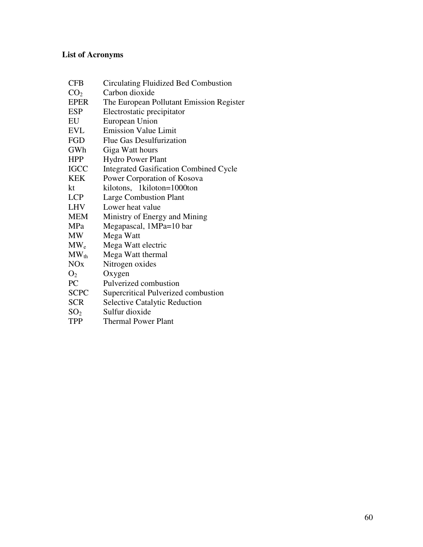# **List of Acronyms**

| <b>CFB</b>      | Circulating Fluidized Bed Combustion          |
|-----------------|-----------------------------------------------|
| CO <sub>2</sub> | Carbon dioxide                                |
| <b>EPER</b>     | The European Pollutant Emission Register      |
| ESP             | Electrostatic precipitator                    |
| EU              | European Union                                |
| <b>EVL</b>      | <b>Emission Value Limit</b>                   |
| FGD             | Flue Gas Desulfurization                      |
| GWh             | Giga Watt hours                               |
| <b>HPP</b>      | <b>Hydro Power Plant</b>                      |
| <b>IGCC</b>     | <b>Integrated Gasification Combined Cycle</b> |
| <b>KEK</b>      | Power Corporation of Kosova                   |
| kt              | kilotons, 1 kiloton=1000ton                   |
| <b>LCP</b>      | <b>Large Combustion Plant</b>                 |
| <b>LHV</b>      | Lower heat value                              |
| <b>MEM</b>      | Ministry of Energy and Mining                 |
| MPa             | Megapascal, 1MPa=10 bar                       |
| <b>MW</b>       | Mega Watt                                     |
| $MW_{e}$        | Mega Watt electric                            |
| $MW_{th}$       | Mega Watt thermal                             |
| NOx             | Nitrogen oxides                               |
| O <sub>2</sub>  | Oxygen                                        |
| PC              | Pulverized combustion                         |
| <b>SCPC</b>     | Supercritical Pulverized combustion           |
| <b>SCR</b>      | <b>Selective Catalytic Reduction</b>          |
| SO <sub>2</sub> | Sulfur dioxide                                |
| TPP             | <b>Thermal Power Plant</b>                    |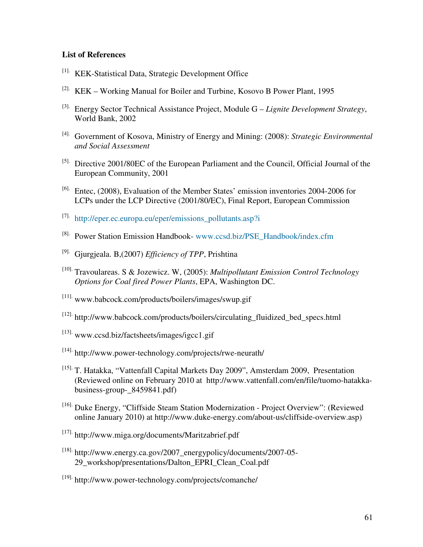#### **List of References**

- [1]. KEK-Statistical Data, Strategic Development Office
- [2]. KEK Working Manual for Boiler and Turbine, Kosovo B Power Plant, 1995
- [3]. Energy Sector Technical Assistance Project, Module G *Lignite Development Strategy*, World Bank, 2002
- [4]. Government of Kosova, Ministry of Energy and Mining: (2008): *Strategic Environmental and Social Assessment*
- [5]. Directive 2001/80EC of the European Parliament and the Council, Official Journal of the European Community, 2001
- [6]. Entec, (2008), Evaluation of the Member States' emission inventories 2004-2006 for LCPs under the LCP Directive (2001/80/EC), Final Report, European Commission
- [7]. http://eper.ec.europa.eu/eper/emissions\_pollutants.asp?i
- [8]. Power Station Emission Handbook- www.ccsd.biz/PSE\_Handbook/index.cfm
- [9]. Gjurgjeala. B,(2007) *Efficiency of TPP*, Prishtina
- [10]. Travoulareas. S & Jozewicz. W, (2005): *Multipollutant Emission Control Technology Options for Coal fired Power Plants*, EPA, Washington DC.
- [11]. www.babcock.com/products/boilers/images/swup.gif
- [12]. http://www.babcock.com/products/boilers/circulating\_fluidized\_bed\_specs.html
- [13]. www.ccsd.biz/factsheets/images/igcc1.gif
- [14]. http://www.power-technology.com/projects/rwe-neurath/
- [15]. T. Hatakka, "Vattenfall Capital Markets Day 2009", Amsterdam 2009, Presentation (Reviewed online on February 2010 at http://www.vattenfall.com/en/file/tuomo-hatakkabusiness-group-\_8459841.pdf)
- [16]. Duke Energy, "Cliffside Steam Station Modernization Project Overview": (Reviewed online January 2010) at http://www.duke-energy.com/about-us/cliffside-overview.asp)
- [17]. http://www.miga.org/documents/Maritzabrief.pdf
- $^{[18]}$ . http://www.energy.ca.gov/2007\_energypolicy/documents/2007-05-29\_workshop/presentations/Dalton\_EPRI\_Clean\_Coal.pdf
- [19]. http://www.power-technology.com/projects/comanche/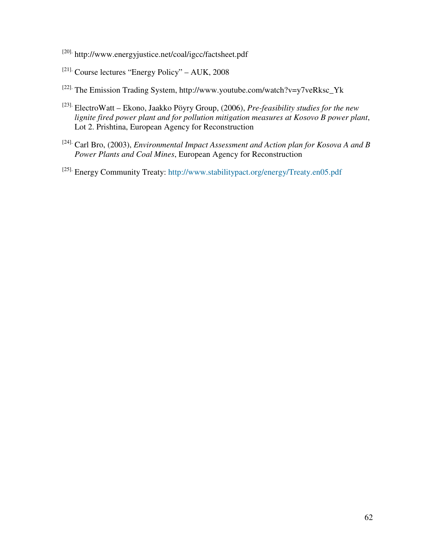- [20]. http://www.energyjustice.net/coal/igcc/factsheet.pdf
- $[21]$ . Course lectures "Energy Policy" AUK, 2008
- [22]. The Emission Trading System, http://www.youtube.com/watch?v=y7veRksc\_Yk
- [23]. ElectroWatt Ekono, Jaakko Pöyry Group, (2006), *Pre-feasibility studies for the new lignite fired power plant and for pollution mitigation measures at Kosovo B power plant*, Lot 2. Prishtina, European Agency for Reconstruction
- [24]. Carl Bro, (2003), *Environmental Impact Assessment and Action plan for Kosova A and B Power Plants and Coal Mines*, European Agency for Reconstruction
- [25]. Energy Community Treaty: http://www.stabilitypact.org/energy/Treaty.en05.pdf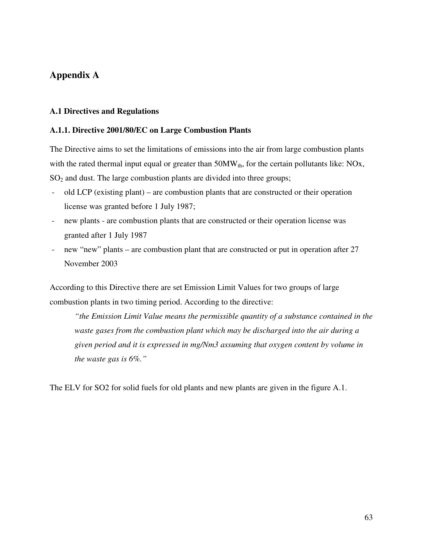# **Appendix A**

#### **A.1 Directives and Regulations**

#### **A.1.1. Directive 2001/80/EC on Large Combustion Plants**

The Directive aims to set the limitations of emissions into the air from large combustion plants with the rated thermal input equal or greater than  $50MW_{th}$ , for the certain pollutants like: NOx, SO<sub>2</sub> and dust. The large combustion plants are divided into three groups;

- old LCP (existing plant) are combustion plants that are constructed or their operation license was granted before 1 July 1987;
- new plants are combustion plants that are constructed or their operation license was granted after 1 July 1987
- new "new" plants are combustion plant that are constructed or put in operation after 27 November 2003

According to this Directive there are set Emission Limit Values for two groups of large combustion plants in two timing period. According to the directive:

*"the Emission Limit Value means the permissible quantity of a substance contained in the waste gases from the combustion plant which may be discharged into the air during a given period and it is expressed in mg/Nm3 assuming that oxygen content by volume in the waste gas is 6%."* 

The ELV for SO2 for solid fuels for old plants and new plants are given in the figure A.1.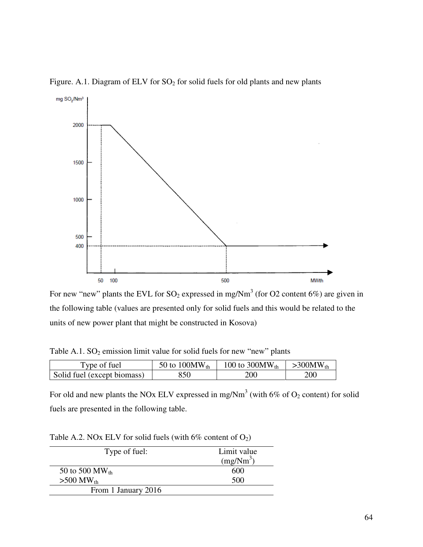

Figure. A.1. Diagram of ELV for  $SO_2$  for solid fuels for old plants and new plants

For new "new" plants the EVL for  $SO_2$  expressed in mg/Nm<sup>3</sup> (for O2 content 6%) are given in the following table (values are presented only for solid fuels and this would be related to the units of new power plant that might be constructed in Kosova)

Table A.1.  $SO_2$  emission limit value for solid fuels for new "new" plants

| Type of fuel                | 50 to 100 MW <sub>th</sub> | 100 to 300 MW <sub>th</sub> | $>300MW_{th}$ |
|-----------------------------|----------------------------|-----------------------------|---------------|
| Solid fuel (except biomass) | 850                        | 200                         | 200           |

For old and new plants the NOx ELV expressed in mg/Nm<sup>3</sup> (with 6% of  $O_2$  content) for solid fuels are presented in the following table.

Table A.2. NOx ELV for solid fuels (with  $6\%$  content of  $O_2$ )

| Type of fuel:              | Limit value<br>$(mg/Nm^3)$ |
|----------------------------|----------------------------|
| 50 to 500 MW <sub>th</sub> | 600                        |
| $>500$ MW <sub>th</sub>    | 500                        |
| From 1 January 2016        |                            |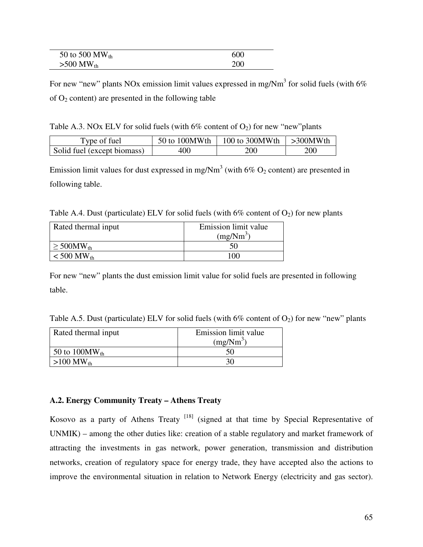| 50 to 500 MW $_{\text{th}}$ | 600 |
|-----------------------------|-----|
| $>500$ MW <sub>th</sub>     | 200 |

For new "new" plants NOx emission limit values expressed in mg/Nm<sup>3</sup> for solid fuels (with 6% of  $O_2$  content) are presented in the following table

Table A.3. NOx ELV for solid fuels (with  $6\%$  content of O<sub>2</sub>) for new "new"plants

| Type of fuel                | 50 to 100MWth | 100 to 300MWth $\vert$ >300MWth |     |  |  |
|-----------------------------|---------------|---------------------------------|-----|--|--|
| Solid fuel (except biomass) | 400           | 200                             | 200 |  |  |

Emission limit values for dust expressed in mg/Nm<sup>3</sup> (with  $6\%$  O<sub>2</sub> content) are presented in following table.

Table A.4. Dust (particulate) ELV for solid fuels (with  $6\%$  content of  $O_2$ ) for new plants

| Rated thermal input         | Emission limit value  |  |  |  |  |  |
|-----------------------------|-----------------------|--|--|--|--|--|
|                             | (mg/Nm <sup>3</sup> ) |  |  |  |  |  |
| $\geq 500$ MW <sub>th</sub> | 50                    |  |  |  |  |  |
| $< 500$ MW <sub>th</sub>    | 100.                  |  |  |  |  |  |

For new "new" plants the dust emission limit value for solid fuels are presented in following table.

| Table A.5. Dust (particulate) ELV for solid fuels (with $6\%$ content of $O_2$ ) for new "new" plants |  |
|-------------------------------------------------------------------------------------------------------|--|
|-------------------------------------------------------------------------------------------------------|--|

| Rated thermal input        | Emission limit value |  |  |  |  |  |
|----------------------------|----------------------|--|--|--|--|--|
|                            | $(mg/Nm^3)$          |  |  |  |  |  |
| 50 to 100 MW <sub>th</sub> |                      |  |  |  |  |  |
| $>100$ MW <sub>th</sub>    |                      |  |  |  |  |  |

### **A.2. Energy Community Treaty – Athens Treaty**

Kosovo as a party of Athens Treaty  $[18]$  (signed at that time by Special Representative of UNMIK) – among the other duties like: creation of a stable regulatory and market framework of attracting the investments in gas network, power generation, transmission and distribution networks, creation of regulatory space for energy trade, they have accepted also the actions to improve the environmental situation in relation to Network Energy (electricity and gas sector).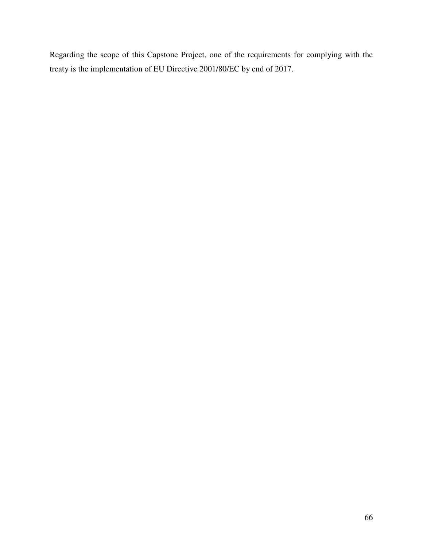Regarding the scope of this Capstone Project, one of the requirements for complying with the treaty is the implementation of EU Directive 2001/80/EC by end of 2017.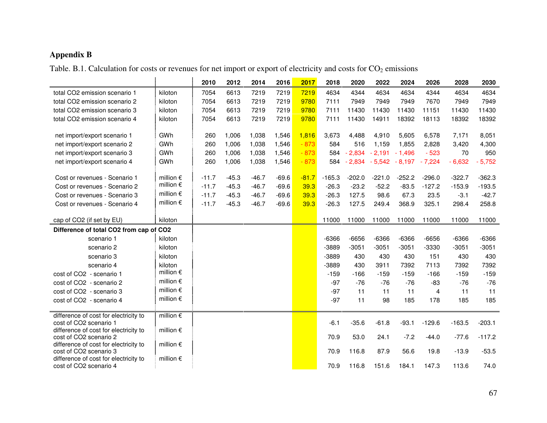#### **Appendix B**

Table. B.1. Calculation for costs or revenues for net import or export of electricity and costs for  $CO_2$  emissions

|                                                                 |                               | 2010    | 2012    | 2014    | 2016    | 2017    | 2018     | 2020     | 2022     | 2024     | 2026     | 2028     | 2030     |
|-----------------------------------------------------------------|-------------------------------|---------|---------|---------|---------|---------|----------|----------|----------|----------|----------|----------|----------|
| total CO2 emission scenario 1                                   | kiloton                       | 7054    | 6613    | 7219    | 7219    | 7219    | 4634     | 4344     | 4634     | 4634     | 4344     | 4634     | 4634     |
| total CO2 emission scenario 2                                   | kiloton                       | 7054    | 6613    | 7219    | 7219    | 9780    | 7111     | 7949     | 7949     | 7949     | 7670     | 7949     | 7949     |
| total CO2 emission scenario 3                                   | kiloton                       | 7054    | 6613    | 7219    | 7219    | 9780    | 7111     | 11430    | 11430    | 11430    | 11151    | 11430    | 11430    |
| total CO2 emission scenario 4                                   | kiloton                       | 7054    | 6613    | 7219    | 7219    | 9780    | 7111     | 11430    | 14911    | 18392    | 18113    | 18392    | 18392    |
| net import/export scenario 1                                    | GWh                           | 260     | 1,006   | 1,038   | 1,546   | 1,816   | 3,673    | 4,488    | 4,910    | 5,605    | 6,578    | 7,171    | 8,051    |
| net import/export scenario 2                                    | GWh                           | 260     | 1,006   | 1,038   | 1,546   | $-873$  | 584      | 516      | 1,159    | 1,855    | 2,828    | 3,420    | 4,300    |
| net import/export scenario 3                                    | GWh                           | 260     | 1,006   | 1,038   | 1,546   | $-873$  | 584      | $-2,834$ | $-2,191$ | $-1,496$ | $-523$   | 70       | 950      |
| net import/export scenario 4                                    | GWh                           | 260     | 1,006   | 1,038   | 1,546   | $-873$  | 584      | $-2,834$ | $-5,542$ | $-8,197$ | $-7,224$ | $-6,632$ | $-5,752$ |
|                                                                 |                               |         |         |         |         |         |          |          |          |          |          |          |          |
| Cost or revenues - Scenario 1                                   | million $\epsilon$            | $-11.7$ | $-45.3$ | $-46.7$ | $-69.6$ | $-81.7$ | $-165.3$ | $-202.0$ | $-221.0$ | $-252.2$ | $-296.0$ | $-322.7$ | $-362.3$ |
| Cost or revenues - Scenario 2                                   | million $\epsilon$            | $-11.7$ | $-45.3$ | $-46.7$ | $-69.6$ | 39.3    | $-26.3$  | $-23.2$  | $-52.2$  | $-83.5$  | $-127.2$ | $-153.9$ | $-193.5$ |
| Cost or revenues - Scenario 3                                   | million $\epsilon$            | $-11.7$ | $-45.3$ | $-46.7$ | $-69.6$ | 39.3    | $-26.3$  | 127.5    | 98.6     | 67.3     | 23.5     | $-3.1$   | $-42.7$  |
| Cost or revenues - Scenario 4                                   | million $\epsilon$            | $-11.7$ | $-45.3$ | $-46.7$ | $-69.6$ | 39.3    | $-26.3$  | 127.5    | 249.4    | 368.9    | 325.1    | 298.4    | 258.8    |
| cap of CO2 (if set by EU)                                       | kiloton                       |         |         |         |         |         | 11000    | 11000    | 11000    | 11000    | 11000    | 11000    | 11000    |
|                                                                 |                               |         |         |         |         |         |          |          |          |          |          |          |          |
| Difference of total CO2 from cap of CO2                         |                               |         |         |         |         |         |          |          |          |          |          |          |          |
| scenario 1                                                      | kiloton                       |         |         |         |         |         | $-6366$  | $-6656$  | $-6366$  | $-6366$  | $-6656$  | $-6366$  | $-6366$  |
| scenario 2                                                      | kiloton                       |         |         |         |         |         | $-3889$  | $-3051$  | $-3051$  | $-3051$  | $-3330$  | $-3051$  | $-3051$  |
| scenario 3                                                      | kiloton                       |         |         |         |         |         | $-3889$  | 430      | 430      | 430      | 151      | 430      | 430      |
| scenario 4                                                      | kiloton<br>million $\epsilon$ |         |         |         |         |         | $-3889$  | 430      | 3911     | 7392     | 7113     | 7392     | 7392     |
| cost of CO2 - scenario 1                                        | million $\epsilon$            |         |         |         |         |         | $-159$   | $-166$   | $-159$   | $-159$   | $-166$   | $-159$   | $-159$   |
| cost of CO2 - scenario 2                                        | million $\epsilon$            |         |         |         |         |         | $-97$    | $-76$    | $-76$    | $-76$    | $-83$    | $-76$    | $-76$    |
| cost of CO2 - scenario 3                                        | million $\epsilon$            |         |         |         |         |         | $-97$    | 11       | 11       | 11       | 4        | 11       | 11       |
| cost of CO2 - scenario 4                                        |                               |         |         |         |         |         | $-97$    | 11       | 98       | 185      | 178      | 185      | 185      |
| difference of cost for electricity to                           | million $\epsilon$            |         |         |         |         |         |          |          |          |          |          |          |          |
| cost of CO2 scenario 1                                          |                               |         |         |         |         |         | $-6.1$   | $-35.6$  | $-61.8$  | $-93.1$  | $-129.6$ | $-163.5$ | $-203.1$ |
| difference of cost for electricity to                           | million $\epsilon$            |         |         |         |         |         |          |          |          |          |          |          |          |
| cost of CO2 scenario 2<br>difference of cost for electricity to | million $\epsilon$            |         |         |         |         |         | 70.9     | 53.0     | 24.1     | $-7.2$   | $-44.0$  | $-77.6$  | $-117.2$ |
| cost of CO2 scenario 3                                          |                               |         |         |         |         |         | 70.9     | 116.8    | 87.9     | 56.6     | 19.8     | $-13.9$  | $-53.5$  |
| difference of cost for electricity to                           | million $\epsilon$            |         |         |         |         |         |          |          |          |          |          |          |          |
| cost of CO2 scenario 4                                          |                               |         |         |         |         |         | 70.9     | 116.8    | 151.6    | 184.1    | 147.3    | 113.6    | 74.0     |